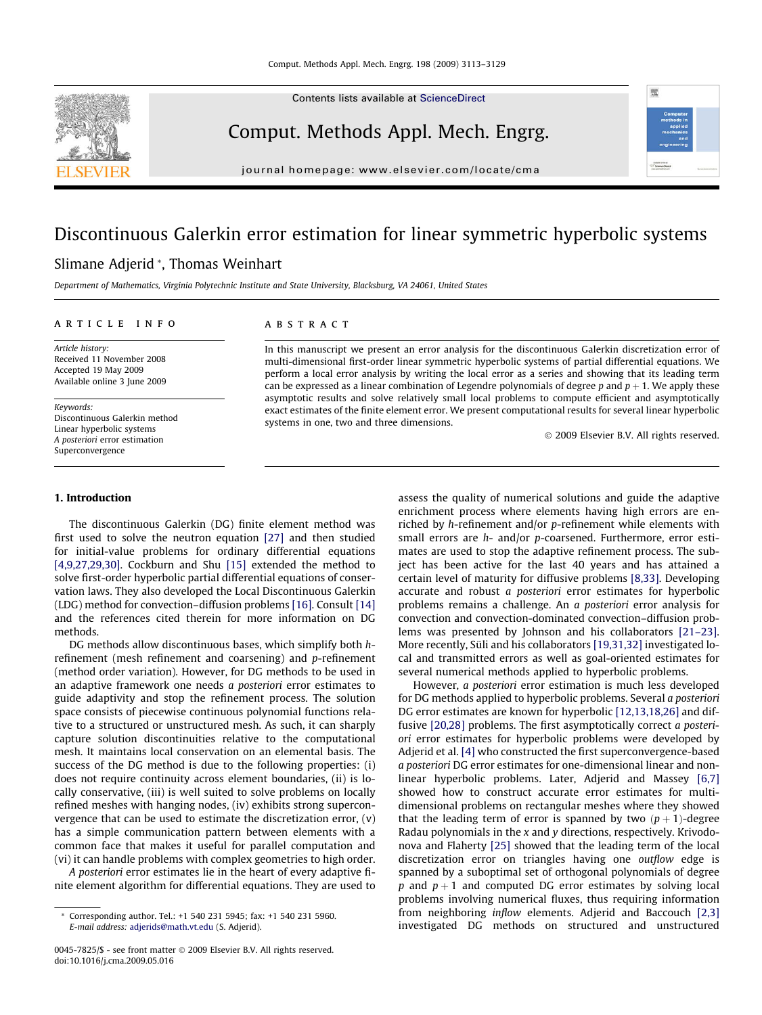Contents lists available at [ScienceDirect](http://www.sciencedirect.com/science/journal/00457825)



## Comput. Methods Appl. Mech. Engrg.

journal homepage: [www.elsevier.com/locate/cma](http://www.elsevier.com/locate/cma)

# Discontinuous Galerkin error estimation for linear symmetric hyperbolic systems

## Slimane Adjerid \*, Thomas Weinhart

Department of Mathematics, Virginia Polytechnic Institute and State University, Blacksburg, VA 24061, United States

#### article info

Article history: Received 11 November 2008 Accepted 19 May 2009 Available online 3 June 2009

Keywords: Discontinuous Galerkin method Linear hyperbolic systems A posteriori error estimation Superconvergence

#### 1. Introduction

### ABSTRACT

In this manuscript we present an error analysis for the discontinuous Galerkin discretization error of multi-dimensional first-order linear symmetric hyperbolic systems of partial differential equations. We perform a local error analysis by writing the local error as a series and showing that its leading term can be expressed as a linear combination of Legendre polynomials of degree p and  $p + 1$ . We apply these asymptotic results and solve relatively small local problems to compute efficient and asymptotically exact estimates of the finite element error. We present computational results for several linear hyperbolic systems in one, two and three dimensions.

- 2009 Elsevier B.V. All rights reserved.

微

The discontinuous Galerkin (DG) finite element method was first used to solve the neutron equation [\[27\]](#page-16-0) and then studied for initial-value problems for ordinary differential equations [\[4,9,27,29,30\].](#page-16-0) Cockburn and Shu [\[15\]](#page-16-0) extended the method to solve first-order hyperbolic partial differential equations of conservation laws. They also developed the Local Discontinuous Galerkin (LDG) method for convection–diffusion problems [\[16\].](#page-16-0) Consult [\[14\]](#page-16-0) and the references cited therein for more information on DG methods.

DG methods allow discontinuous bases, which simplify both hrefinement (mesh refinement and coarsening) and p-refinement (method order variation). However, for DG methods to be used in an adaptive framework one needs a posteriori error estimates to guide adaptivity and stop the refinement process. The solution space consists of piecewise continuous polynomial functions relative to a structured or unstructured mesh. As such, it can sharply capture solution discontinuities relative to the computational mesh. It maintains local conservation on an elemental basis. The success of the DG method is due to the following properties: (i) does not require continuity across element boundaries, (ii) is locally conservative, (iii) is well suited to solve problems on locally refined meshes with hanging nodes, (iv) exhibits strong superconvergence that can be used to estimate the discretization error, (v) has a simple communication pattern between elements with a common face that makes it useful for parallel computation and (vi) it can handle problems with complex geometries to high order.

A posteriori error estimates lie in the heart of every adaptive finite element algorithm for differential equations. They are used to

assess the quality of numerical solutions and guide the adaptive enrichment process where elements having high errors are enriched by h-refinement and/or p-refinement while elements with small errors are h- and/or p-coarsened. Furthermore, error estimates are used to stop the adaptive refinement process. The subject has been active for the last 40 years and has attained a certain level of maturity for diffusive problems [\[8,33\]](#page-16-0). Developing accurate and robust a posteriori error estimates for hyperbolic problems remains a challenge. An a posteriori error analysis for convection and convection-dominated convection–diffusion problems was presented by Johnson and his collaborators [\[21–23\].](#page-16-0) More recently, Süli and his collaborators [\[19,31,32\]](#page-16-0) investigated local and transmitted errors as well as goal-oriented estimates for several numerical methods applied to hyperbolic problems.

However, a posteriori error estimation is much less developed for DG methods applied to hyperbolic problems. Several a posteriori DG error estimates are known for hyperbolic [\[12,13,18,26\]](#page-16-0) and diffusive [\[20,28\]](#page-16-0) problems. The first asymptotically correct a posteriori error estimates for hyperbolic problems were developed by Adjerid et al. [\[4\]](#page-16-0) who constructed the first superconvergence-based a posteriori DG error estimates for one-dimensional linear and nonlinear hyperbolic problems. Later, Adjerid and Massey [\[6,7\]](#page-16-0) showed how to construct accurate error estimates for multidimensional problems on rectangular meshes where they showed that the leading term of error is spanned by two  $(p + 1)$ -degree Radau polynomials in the  $x$  and  $y$  directions, respectively. Krivodonova and Flaherty [\[25\]](#page-16-0) showed that the leading term of the local discretization error on triangles having one outflow edge is spanned by a suboptimal set of orthogonal polynomials of degree p and  $p + 1$  and computed DG error estimates by solving local problems involving numerical fluxes, thus requiring information from neighboring inflow elements. Adjerid and Baccouch [\[2,3\]](#page-16-0) investigated DG methods on structured and unstructured

Corresponding author. Tel.: +1 540 231 5945; fax: +1 540 231 5960. E-mail address: [adjerids@math.vt.edu](mailto:adjerids@math.vt.edu) (S. Adjerid).

<sup>0045-7825/\$ -</sup> see front matter © 2009 Elsevier B.V. All rights reserved. doi:10.1016/j.cma.2009.05.016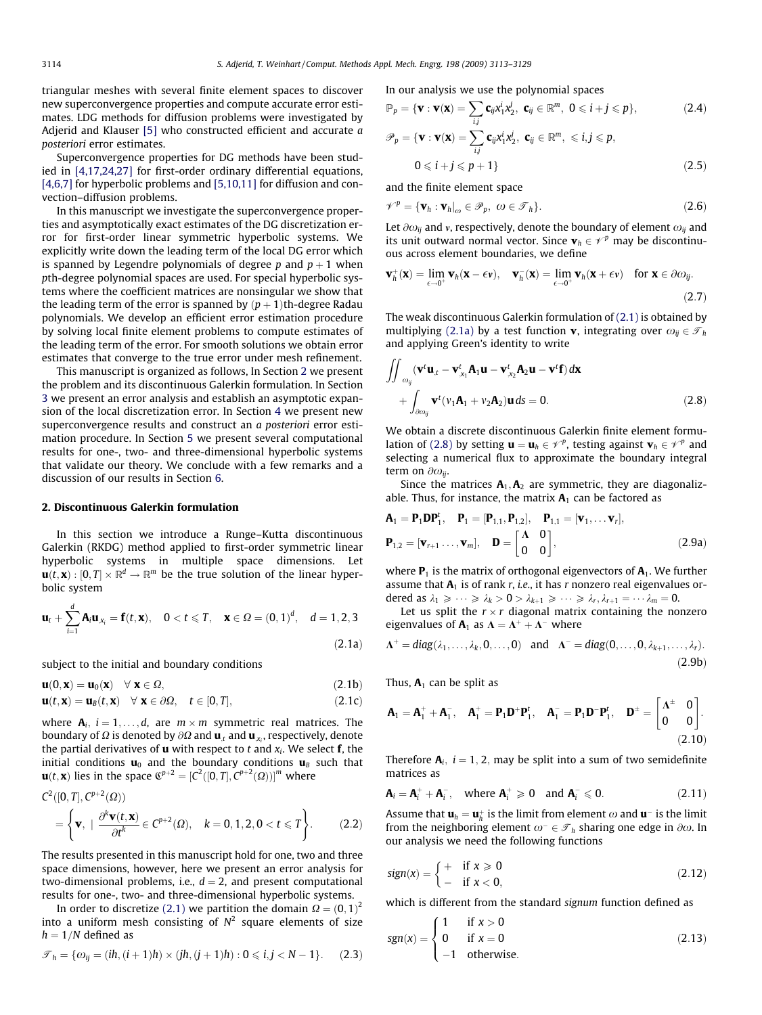<span id="page-1-0"></span>triangular meshes with several finite element spaces to discover new superconvergence properties and compute accurate error estimates. LDG methods for diffusion problems were investigated by Adjerid and Klauser [\[5\]](#page-16-0) who constructed efficient and accurate a posteriori error estimates.

Superconvergence properties for DG methods have been studied in [\[4,17,24,27\]](#page-16-0) for first-order ordinary differential equations,  $[4,6,7]$  for hyperbolic problems and  $[5,10,11]$  for diffusion and convection–diffusion problems.

In this manuscript we investigate the superconvergence properties and asymptotically exact estimates of the DG discretization error for first-order linear symmetric hyperbolic systems. We explicitly write down the leading term of the local DG error which is spanned by Legendre polynomials of degree p and  $p + 1$  when pth-degree polynomial spaces are used. For special hyperbolic systems where the coefficient matrices are nonsingular we show that the leading term of the error is spanned by  $(p + 1)$ th-degree Radau polynomials. We develop an efficient error estimation procedure by solving local finite element problems to compute estimates of the leading term of the error. For smooth solutions we obtain error estimates that converge to the true error under mesh refinement.

This manuscript is organized as follows, In Section 2 we present the problem and its discontinuous Galerkin formulation. In Section [3](#page-2-0) we present an error analysis and establish an asymptotic expansion of the local discretization error. In Section [4](#page-6-0) we present new superconvergence results and construct an a posteriori error estimation procedure. In Section [5](#page-9-0) we present several computational results for one-, two- and three-dimensional hyperbolic systems that validate our theory. We conclude with a few remarks and a discussion of our results in Section [6.](#page-14-0)

#### 2. Discontinuous Galerkin formulation

In this section we introduce a Runge–Kutta discontinuous Galerkin (RKDG) method applied to first-order symmetric linear hyperbolic systems in multiple space dimensions. Let  $\mathbf{u}(t,\mathbf{x}): [0,T] \times \mathbb{R}^d \rightarrow \mathbb{R}^m$  be the true solution of the linear hyperbolic system

$$
\mathbf{u}_{t} + \sum_{i=1}^{d} \mathbf{A}_{i} \mathbf{u}_{x_{i}} = \mathbf{f}(t, \mathbf{x}), \quad 0 < t \leq T, \quad \mathbf{x} \in \Omega = (0, 1)^{d}, \quad d = 1, 2, 3
$$
\n(2.1a)

subject to the initial and boundary conditions

$$
\mathbf{u}(0,\mathbf{x}) = \mathbf{u}_0(\mathbf{x}) \quad \forall \ \mathbf{x} \in \Omega,
$$
\n(2.1b)

$$
\mathbf{u}(t,\mathbf{x}) = \mathbf{u}_B(t,\mathbf{x}) \quad \forall \ \mathbf{x} \in \partial \Omega, \quad t \in [0,T], \tag{2.1c}
$$

where  $A_i$ ,  $i = 1, \ldots, d$ , are  $m \times m$  symmetric real matrices. The boundary of  $\varOmega$  is denoted by  $\partial\varOmega$  and  $\mathbf{u}_{,t}$  and  $\mathbf{u}_{,x_i}$ , respectively, denote the partial derivatives of  $\bf{u}$  with respect to t and  $x_i$ . We select **f**, the initial conditions  $\mathbf{u}_0$  and the boundary conditions  $\mathbf{u}_B$  such that  $\mathbf{u}(t, \mathbf{x})$  lies in the space  $\mathfrak{C}^{p+2} = [C^2([0, T], C^{p+2}(\Omega))]^m$  where

$$
C^{2}([0, T], C^{p+2}(\Omega))
$$
  
= 
$$
\left\{ \mathbf{v}, \mid \frac{\partial^{k} \mathbf{v}(t, \mathbf{x})}{\partial t^{k}} \in C^{p+2}(\Omega), \quad k = 0, 1, 2, 0 < t \leq T \right\}.
$$
 (2.2)

The results presented in this manuscript hold for one, two and three space dimensions, however, here we present an error analysis for two-dimensional problems, i.e.,  $d = 2$ , and present computational results for one-, two- and three-dimensional hyperbolic systems.

In order to discretize (2.1) we partition the domain  $\varOmega = \left(0,1\right)^2$ into a uniform mesh consisting of  $N^2$  square elements of size  $h = 1/N$  defined as

$$
\mathcal{F}_h = \{ \omega_{ij} = (ih, (i+1)h) \times (jh, (j+1)h) : 0 \leq i, j < N - 1 \}. \tag{2.3}
$$

In our analysis we use the polynomial spaces

$$
\mathbb{P}_p = \{ \mathbf{v} : \mathbf{v}(\mathbf{x}) = \sum_{i,j} \mathbf{c}_{ij} x_1^i x_2^j, \ \mathbf{c}_{ij} \in \mathbb{R}^m, \ 0 \le i + j \le p \},\tag{2.4}
$$
\n
$$
\mathscr{P}_p = \{ \mathbf{v} : \mathbf{v}(\mathbf{x}) = \sum_{i,j} \mathbf{c}_{ij} x_1^i x_2^j, \ \mathbf{c}_{ij} \in \mathbb{R}^m, \ \leqslant i, j \leqslant p,
$$
\n
$$
0 \leqslant i + j \leqslant p + 1 \}
$$
\n
$$
(2.5)
$$

and the finite element space  $\mathbf{v}$  for  $\mathbf{v}$  is the set of  $\mathbf{v}$ 

$$
\mathscr{V}^p = \{ \mathbf{v}_h : \mathbf{v}_h |_{\omega} \in \mathscr{P}_p, \ \omega \in \mathscr{T}_h \}. \tag{2.6}
$$

Let  $\partial \omega_{ij}$  and v, respectively, denote the boundary of element  $\omega_{ij}$  and its unit outward normal vector. Since  $\mathbf{v}_h \in \mathcal{V}^p$  may be discontinuous across element boundaries, we define

$$
\mathbf{v}_h^+(\mathbf{x}) = \lim_{\epsilon \to 0^+} \mathbf{v}_h(\mathbf{x} - \epsilon \mathbf{v}), \quad \mathbf{v}_h^-(\mathbf{x}) = \lim_{\epsilon \to 0^+} \mathbf{v}_h(\mathbf{x} + \epsilon \mathbf{v}) \quad \text{for } \mathbf{x} \in \partial \omega_{ij}.
$$
\n(2.7)

The weak discontinuous Galerkin formulation of (2.1) is obtained by multiplying (2.1a) by a test function **v**, integrating over  $\omega_{ii} \in \mathcal{T}_h$ and applying Green's identity to write

$$
\iint_{\omega_{ij}} (\mathbf{v}^t \mathbf{u}_{,t} - \mathbf{v}_{,x_1}^t \mathbf{A}_1 \mathbf{u} - \mathbf{v}_{,x_2}^t \mathbf{A}_2 \mathbf{u} - \mathbf{v}^t \mathbf{f}) d\mathbf{x} + \int_{\partial \omega_{ij}} \mathbf{v}^t (\nu_1 \mathbf{A}_1 + \nu_2 \mathbf{A}_2) \mathbf{u} d\mathbf{s} = 0.
$$
 (2.8)

We obtain a discrete discontinuous Galerkin finite element formulation of (2.8) by setting  $\mathbf{u} = \mathbf{u}_h \in \mathcal{V}^p$ , testing against  $\mathbf{v}_h \in \mathcal{V}^p$  and selecting a numerical flux to approximate the boundary integral term on  $\partial\omega_{ii}$ .

Since the matrices  $A_1, A_2$  are symmetric, they are diagonalizable. Thus, for instance, the matrix  $A_1$  can be factored as

$$
\mathbf{A}_1 = \mathbf{P}_1 \mathbf{D} \mathbf{P}_1^t, \quad \mathbf{P}_1 = [\mathbf{P}_{1,1}, \mathbf{P}_{1,2}], \quad \mathbf{P}_{1,1} = [\mathbf{v}_1, \dots \mathbf{v}_r],
$$
\n
$$
\mathbf{P}_{1,2} = [\mathbf{v}_{r+1} \dots, \mathbf{v}_m], \quad \mathbf{D} = \begin{bmatrix} \Lambda & 0 \\ 0 & 0 \end{bmatrix},
$$
\n(2.9a)

where  $P_1$  is the matrix of orthogonal eigenvectors of  $A_1$ . We further assume that  $A_1$  is of rank r, *i.e.*, it has r nonzero real eigenvalues ordered as  $\lambda_1 \geqslant \cdots \geqslant \lambda_k > 0 > \lambda_{k+1} \geqslant \cdots \geqslant \lambda_r, \lambda_{r+1} = \cdots \lambda_m = 0.$ 

Let us split the  $r \times r$  diagonal matrix containing the nonzero eigenvalues of  $A_1$  as  $\Lambda = \Lambda^+ + \Lambda^-$  where

$$
\Lambda^{+} = diag(\lambda_1, \ldots, \lambda_k, 0, \ldots, 0) \text{ and } \Lambda^{-} = diag(0, \ldots, 0, \lambda_{k+1}, \ldots, \lambda_r).
$$
\n(2.9b)

Thus,  $A_1$  can be split as

$$
\mathbf{A}_1 = \mathbf{A}_1^+ + \mathbf{A}_1^-, \quad \mathbf{A}_1^+ = \mathbf{P}_1 \mathbf{D}^+ \mathbf{P}_1^t, \quad \mathbf{A}_1^- = \mathbf{P}_1 \mathbf{D}^- \mathbf{P}_1^t, \quad \mathbf{D}^{\pm} = \begin{bmatrix} \mathbf{\Lambda}^{\pm} & 0 \\ 0 & 0 \end{bmatrix}.
$$
\n(2.10)

Therefore  $A_i$ ,  $i = 1, 2$ , may be split into a sum of two semidefinite matrices as

$$
\mathbf{A}_i = \mathbf{A}_i^+ + \mathbf{A}_i^-, \quad \text{where } \mathbf{A}_i^+ \geq 0 \quad \text{and } \mathbf{A}_i^- \leq 0. \tag{2.11}
$$

Assume that  $\mathbf{u}_h = \mathbf{u}_h^+$  is the limit from element  $\omega$  and  $\mathbf{u}^-$  is the limit from the neighboring element  $\omega^- \in \mathcal{T}_h$  sharing one edge in  $\partial \omega$ . In our analysis we need the following functions

$$
sign(x) = \begin{cases} + & \text{if } x \ge 0 \\ - & \text{if } x < 0, \end{cases}
$$
 (2.12)

which is different from the standard signum function defined as

$$
sgn(x) = \begin{cases} 1 & \text{if } x > 0 \\ 0 & \text{if } x = 0 \\ -1 & \text{otherwise.} \end{cases}
$$
 (2.13)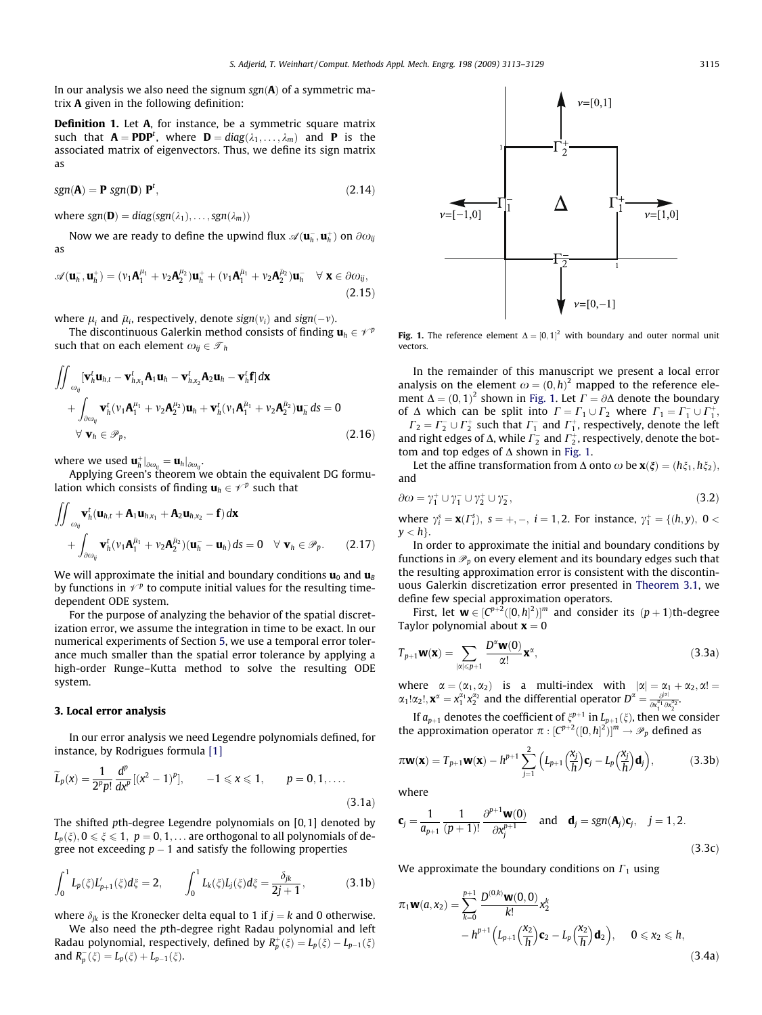<span id="page-2-0"></span>In our analysis we also need the signum  $sgn(A)$  of a symmetric matrix A given in the following definition:

Definition 1. Let A, for instance, be a symmetric square matrix such that  $A = PDP^t$ , where  $D = diag(\lambda_1, ..., \lambda_m)$  and **P** is the associated matrix of eigenvectors. Thus, we define its sign matrix as

$$
sgn(\mathbf{A}) = \mathbf{P} sgn(\mathbf{D}) \mathbf{P}^t, \tag{2.14}
$$

where  $sgn(\mathbf{D}) = diag(sgn(\lambda_1), \ldots, sgn(\lambda_m))$ 

Now we are ready to define the upwind flux  $\mathscr{A}({\bf u}_h^-,{\bf u}_h^+)$  on  $\partial\omega_{ij}$ as

$$
\mathscr{A}(\mathbf{u}_h^-, \mathbf{u}_h^+) = (v_1 \mathbf{A}_1^{\mu_1} + v_2 \mathbf{A}_2^{\mu_2}) \mathbf{u}_h^+ + (v_1 \mathbf{A}_1^{\bar{\mu}_1} + v_2 \mathbf{A}_2^{\bar{\mu}_2}) \mathbf{u}_h^- \quad \forall \ \mathbf{x} \in \partial \omega_{ij},\tag{2.15}
$$

where  $\mu_i$  and  $\bar{\mu}_i$ , respectively, denote  $sign(v_i)$  and  $sign(-v)$ .

The discontinuous Galerkin method consists of finding  $\mathbf{u}_h \in \mathcal{V}^p$ such that on each element  $\omega_{ij} \in \mathcal{T}_h$ 

$$
\iint_{\omega_{ij}} [\mathbf{v}_h^t \mathbf{u}_{h,t} - \mathbf{v}_{h,x_1}^t \mathbf{A}_1 \mathbf{u}_h - \mathbf{v}_{h,x_2}^t \mathbf{A}_2 \mathbf{u}_h - \mathbf{v}_h^t \mathbf{f}] d\mathbf{x} \n+ \int_{\partial \omega_{ij}} \mathbf{v}_h^t (\nu_1 \mathbf{A}_1^{\mu_1} + \nu_2 \mathbf{A}_2^{\mu_2}) \mathbf{u}_h + \mathbf{v}_h^t (\nu_1 \mathbf{A}_1^{\bar{\mu}_1} + \nu_2 \mathbf{A}_2^{\bar{\mu}_2}) \mathbf{u}_h^- d\mathbf{s} = 0 \n\forall \mathbf{v}_h \in \mathcal{P}_p,
$$
\n(2.16)

where we used  $\mathbf{u}_h^+|_{\partial \omega_{ij}} = \mathbf{u}_h|_{\partial \omega_{ij}}$ .

ZZ

Applying Green's theorem we obtain the equivalent DG formulation which consists of finding  $\mathbf{u}_h \in \mathcal{V}^p$  such that

$$
\iint_{\omega_{ij}} \mathbf{v}_h^{\mathrm{f}}(\mathbf{u}_{h,t} + \mathbf{A}_1 \mathbf{u}_{h,x_1} + \mathbf{A}_2 \mathbf{u}_{h,x_2} - \mathbf{f}) d\mathbf{x} + \int_{\partial \omega_{ij}} \mathbf{v}_h^{\mathrm{f}}(\nu_1 \mathbf{A}_1^{\overline{\mu}_1} + \nu_2 \mathbf{A}_2^{\overline{\mu}_2})(\mathbf{u}_h^- - \mathbf{u}_h) d\mathbf{s} = 0 \quad \forall \ \mathbf{v}_h \in \mathcal{P}_p.
$$
 (2.17)

We will approximate the initial and boundary conditions  $\mathbf{u}_0$  and  $\mathbf{u}_B$ by functions in  $\mathcal{V}^p$  to compute initial values for the resulting timedependent ODE system.

For the purpose of analyzing the behavior of the spatial discretization error, we assume the integration in time to be exact. In our numerical experiments of Section [5](#page-9-0), we use a temporal error tolerance much smaller than the spatial error tolerance by applying a high-order Runge–Kutta method to solve the resulting ODE system.

## 3. Local error analysis

In our error analysis we need Legendre polynomials defined, for instance, by Rodrigues formula [\[1\]](#page-16-0)

$$
\widetilde{L}_p(x) = \frac{1}{2^p p!} \frac{d^p}{dx^p} [(x^2 - 1)^p], \qquad -1 \le x \le 1, \qquad p = 0, 1, \dots
$$
\n(3.1a)

The shifted pth-degree Legendre polynomials on [0, 1] denoted by  $L_p(\xi)$ ,  $0 \le \xi \le 1$ ,  $p = 0, 1, \ldots$  are orthogonal to all polynomials of degree not exceeding  $p - 1$  and satisfy the following properties

$$
\int_0^1 L_p(\xi) L'_{p+1}(\xi) d\xi = 2, \qquad \int_0^1 L_k(\xi) L_j(\xi) d\xi = \frac{\delta_{jk}}{2j+1},
$$
 (3.1b)

where  $\delta_{jk}$  is the Kronecker delta equal to 1 if  $j = k$  and 0 otherwise.

We also need the pth-degree right Radau polynomial and left Radau polynomial, respectively, defined by  $R_p^+(\xi) = L_p(\xi) - L_{p-1}(\xi)$ and  $R_p^-(\xi) = L_p(\xi) + L_{p-1}(\xi)$ .



**Fig. 1.** The reference element  $\Delta = [0, 1]^2$  with boundary and outer normal unit vectors.

In the remainder of this manuscript we present a local error analysis on the element  $\omega = (0, h)^2$  mapped to the reference element  $\Delta = (0, 1)^2$  shown in Fig. 1. Let  $\Gamma = \partial \Delta$  denote the boundary of  $\Delta$  which can be split into  $\Gamma = \Gamma_1 \cup \Gamma_2$  where  $\Gamma_1 = \Gamma_1^- \cup \Gamma_1^+$  $\Gamma_2 = \Gamma_2^- \cup \Gamma_2^+$  such that  $\Gamma_1^-$  and  $\Gamma_1^+$ , respectively, denote the left and right edges of  $\Delta$ , while  $\Gamma_2^-$  and  $\Gamma_2^+$ , respectively, denote the bottom and top edges of  $\Delta$  shown in Fig. 1.

Let the affine transformation from  $\Delta$  onto  $\omega$  be  $\mathbf{x}(\xi) = (h\xi_1, h\xi_2)$ , and

$$
\partial \omega = \gamma_1^+ \cup \gamma_1^- \cup \gamma_2^+ \cup \gamma_2^-, \tag{3.2}
$$

where  $\gamma_i^s = \mathbf{x}(\Gamma_i^s)$ ,  $s = +, -, i = 1, 2$ . For instance,  $\gamma_1^+ = \{(h, y), 0 <$  $y < h$ .

In order to approximate the initial and boundary conditions by functions in  $\mathcal{P}_p$  on every element and its boundary edges such that the resulting approximation error is consistent with the discontinuous Galerkin discretization error presented in [Theorem 3.1,](#page-4-0) we define few special approximation operators.

First, let  $\mathbf{w} \in [C^{p+2}([0,h]^2)]^m$  and consider its  $(p+1)$ th-degree Taylor polynomial about  $x = 0$ 

$$
T_{p+1}\mathbf{w}(\mathbf{x}) = \sum_{|\alpha| \leq p+1} \frac{D^{\alpha}\mathbf{w}(0)}{\alpha!} \mathbf{x}^{\alpha},
$$
\n(3.3a)

where  $\alpha = (\alpha_1, \alpha_2)$  is a multi-index with  $|\alpha| = \alpha_1 + \alpha_2, \alpha! =$  $\alpha_1!\alpha_2!$ ,  $\mathbf{x}^{\alpha} = x_1^{\alpha_1}x_2^{\alpha_2}$  and the differential operator  $D^{\alpha} = \frac{\partial^{|\alpha|}}{\partial x_1^{\alpha_1} \partial x_2^{\alpha_2}}$ .

If  $a_{p+1}$  denotes the coefficient of  $\xi^{p+1}$  in  $L_{p+1}(\xi)$ , then we consider the approximation operator  $\pi : [C^{p+2}([0,h]^2)]^m \to \mathscr{P}_p$  defined as

$$
\pi \mathbf{w}(\mathbf{x}) = T_{p+1} \mathbf{w}(\mathbf{x}) - h^{p+1} \sum_{j=1}^{2} \left( L_{p+1} \left( \frac{\mathbf{x}_j}{h} \right) \mathbf{c}_j - L_p \left( \frac{\mathbf{x}_j}{h} \right) \mathbf{d}_j \right), \tag{3.3b}
$$

where

$$
\mathbf{c}_j = \frac{1}{a_{p+1}} \frac{1}{(p+1)!} \frac{\partial^{p+1} \mathbf{w}(0)}{\partial x_j^{p+1}} \quad \text{and} \quad \mathbf{d}_j = sgn(\mathbf{A}_j) \mathbf{c}_j, \quad j = 1, 2.
$$
\n(3.3c)

We approximate the boundary conditions on  $\Gamma_1$  using

$$
\pi_1 \mathbf{w}(a, x_2) = \sum_{k=0}^{p+1} \frac{D^{(0,k)} \mathbf{w}(0, 0)}{k!} x_2^k \n- h^{p+1} \Big( L_{p+1} \Big( \frac{x_2}{h} \Big) \mathbf{c}_2 - L_p \Big( \frac{x_2}{h} \Big) \mathbf{d}_2 \Big), \quad 0 \le x_2 \le h,
$$
\n(3.4a)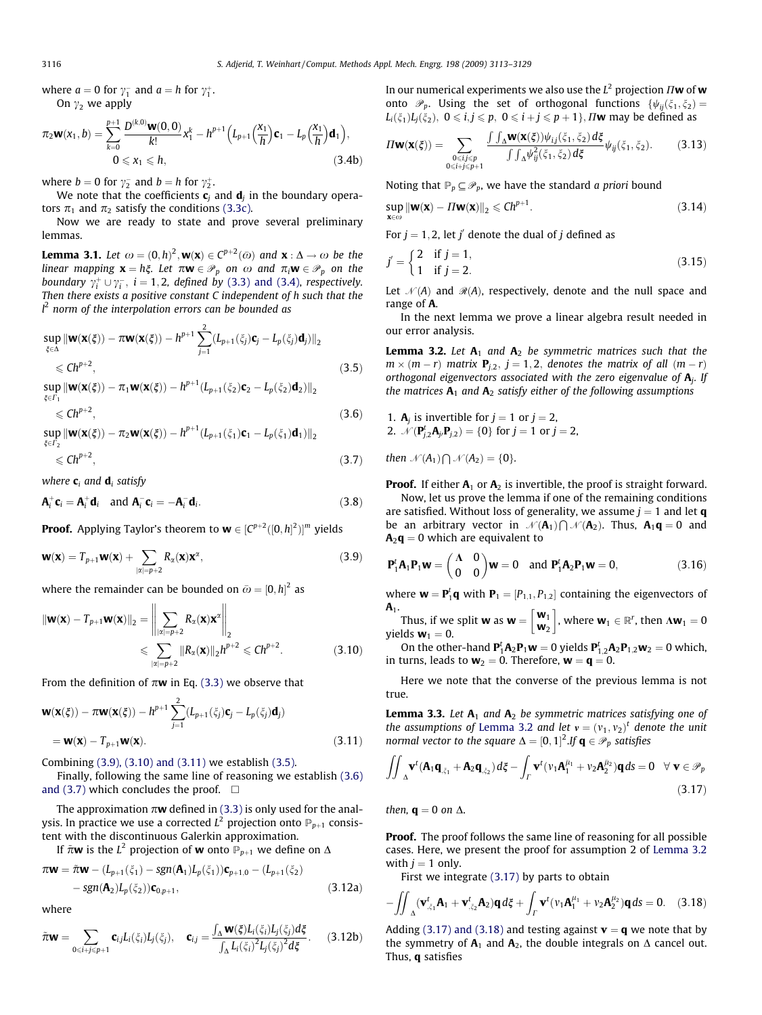<span id="page-3-0"></span>where  $a = 0$  for  $\gamma_1^-$  and  $a = h$  for  $\gamma_1^+$ . On  $\gamma_2$  we apply

$$
\pi_2 \mathbf{w}(x_1, b) = \sum_{k=0}^{p+1} \frac{D^{(k, 0)} \mathbf{w}(0, 0)}{k!} x_1^k - h^{p+1} \Big( L_{p+1} \Big( \frac{x_1}{h} \Big) \mathbf{c}_1 - L_p \Big( \frac{x_1}{h} \Big) \mathbf{d}_1 \Big),
$$
  
0 \le x\_1 \le h, (3.4b)

where  $b = 0$  for  $\gamma_2^-$  and  $b = h$  for  $\gamma_2^+$ .

We note that the coefficients  $\mathbf{c}_i$  and  $\mathbf{d}_i$  in the boundary operators  $\pi_1$  and  $\pi_2$  satisfy the conditions [\(3.3c\).](#page-2-0)

Now we are ready to state and prove several preliminary lemmas.

**Lemma 3.1.** Let  $\omega = (0, h)^2$ ,  $w(x) \in C^{p+2}(\bar{\omega})$  and  $x : \Delta \to \omega$  be the linear mapping  $\mathbf{x} = h\xi$ . Let  $\pi \mathbf{w} \in \mathcal{P}_p$  on  $\omega$  and  $\pi_i \mathbf{w} \in \mathcal{P}_p$  on the boundary  $\gamma_i^+ \cup \gamma_i^-, i = 1, 2$ , defined by [\(3.3\) and \(3.4\)](#page-2-0), respectively. Then there exists a positive constant C independent of h such that the  $l^2$  norm of the interpolation errors can be bounded as

$$
\sup_{\xi \in \Delta} \|\mathbf{w}(\mathbf{x}(\xi)) - \pi \mathbf{w}(\mathbf{x}(\xi)) - h^{p+1} \sum_{j=1}^{2} (L_{p+1}(\xi_j) \mathbf{c}_j - L_p(\xi_j) \mathbf{d}_j) \|_2
$$
  
\$\leqslant Ch^{p+2}, \qquad (3.5)\$

$$
\sup_{\xi \in \Gamma_1} \|\mathbf{w}(\mathbf{x}(\xi)) - \pi_1 \mathbf{w}(\mathbf{x}(\xi)) - h^{p+1} (L_{p+1}(\xi_2) \mathbf{c}_2 - L_p(\xi_2) \mathbf{d}_2) \|_2
$$
  
\$\leqslant Ch^{p+2}, \tag{3.6}

$$
\sup_{\xi \in \Gamma_2} \|\mathbf{w}(\mathbf{x}(\xi)) - \pi_2 \mathbf{w}(\mathbf{x}(\xi)) - h^{p+1} (L_{p+1}(\xi_1) \mathbf{c}_1 - L_p(\xi_1) \mathbf{d}_1) \|_2
$$
  
\$\leq C h^{p+2}, \qquad (3.7)\$

where  $\mathbf{c}_i$  and  $\mathbf{d}_i$  satisfy

$$
\mathbf{A}_i^+ \mathbf{c}_i = \mathbf{A}_i^+ \mathbf{d}_i \quad \text{and } \mathbf{A}_i^- \mathbf{c}_i = -\mathbf{A}_i^- \mathbf{d}_i. \tag{3.8}
$$

**Proof.** Applying Taylor's theorem to  $\mathbf{w} \in [C^{p+2}([0,h]^2)]^m$  yields

$$
\mathbf{w}(\mathbf{x}) = T_{p+1}\mathbf{w}(\mathbf{x}) + \sum_{|\alpha|=p+2} R_{\alpha}(\mathbf{x})\mathbf{x}^{\alpha},
$$
\n(3.9)

where the remainder can be bounded on  $\bar{\omega} = \left[0,h\right]^2$  as

$$
\|\mathbf{w}(\mathbf{x}) - T_{p+1}\mathbf{w}(\mathbf{x})\|_{2} = \left\|\sum_{|\alpha|=p+2} R_{\alpha}(\mathbf{x})\mathbf{x}^{\alpha}\right\|_{2}
$$
  
\$\leqslant \sum\_{|\alpha|=p+2} |\mathbf{R}\_{\alpha}(\mathbf{x})||\_{2}h^{p+2} \leqslant Ch^{p+2}\$. (3.10)

From the definition of  $\pi w$  in Eq. [\(3.3\)](#page-2-0) we observe that

$$
\mathbf{w}(\mathbf{x}(\xi)) - \pi \mathbf{w}(\mathbf{x}(\xi)) - h^{p+1} \sum_{j=1}^{2} (L_{p+1}(\xi_j) \mathbf{c}_j - L_p(\xi_j) \mathbf{d}_j)
$$
  
=  $\mathbf{w}(\mathbf{x}) - T_{p+1} \mathbf{w}(\mathbf{x}).$  (3.11)

Combining (3.9), (3.10) and (3.11) we establish (3.5).

Finally, following the same line of reasoning we establish (3.6) and (3.7) which concludes the proof.  $\Box$ 

The approximation  $\pi w$  defined in [\(3.3\)](#page-2-0) is only used for the analysis. In practice we use a corrected  $L^2$  projection onto  $\mathbb{P}_{p+1}$  consistent with the discontinuous Galerkin approximation.

If  $\tilde{\pi}$ **w** is the  $L^2$  projection of **w** onto  $\mathbb{P}_{p+1}$  we define on  $\Delta$ 

$$
\pi \mathbf{w} = \tilde{\pi} \mathbf{w} - (L_{p+1}(\xi_1) - \text{sgn}(\mathbf{A}_1) L_p(\xi_1)) \mathbf{c}_{p+1,0} - (L_{p+1}(\xi_2) - \text{sgn}(\mathbf{A}_2) L_p(\xi_2)) \mathbf{c}_{0,p+1},
$$
\n(3.12a)

where

$$
\tilde{\pi}\mathbf{w} = \sum_{0 \leq i+j \leq p+1} \mathbf{c}_{ij} L_i(\xi_i) L_j(\xi_j), \quad \mathbf{c}_{ij} = \frac{\int_{\Delta} \mathbf{w}(\xi) L_i(\xi_i) L_j(\xi_j) d\xi}{\int_{\Delta} L_i(\xi_i)^2 L_j(\xi_j)^2 d\xi}.
$$
 (3.12b)

In our numerical experiments we also use the  $L^2$  projection  $\Pi$ **w** of **w** onto  $\mathcal{P}_p$ . Using the set of orthogonal functions  $\{\psi_{ii}(\xi_1, \xi_2) =$  $L_i(\xi_1)L_i(\xi_2), 0 \leq i, j \leq p, 0 \leq i+j \leq p+1$ ,  $\Pi$ **w** may be defined as

$$
\Pi \mathbf{w}(\mathbf{x}(\xi)) = \sum_{\substack{0 \le i,j \le p \\ 0 \le i+j \le p+1}} \frac{\int \int_{\Delta} \mathbf{w}(\mathbf{x}(\xi)) \psi_{ij}(\xi_1, \xi_2) d\xi}{\int \int_{\Delta} \psi_{ij}^2(\xi_1, \xi_2) d\xi} \psi_{ij}(\xi_1, \xi_2).
$$
 (3.13)

Noting that  $\mathbb{P}_p \subseteq \mathcal{P}_p$ , we have the standard *a priori* bound

$$
\sup_{\mathbf{x}\in\omega} \|\mathbf{w}(\mathbf{x}) - \mathbf{\Pi}\mathbf{w}(\mathbf{x})\|_2 \leqslant Ch^{p+1}.\tag{3.14}
$$

For  $j = 1, 2$ , let  $j'$  denote the dual of j defined as

$$
j' = \begin{cases} 2 & \text{if } j = 1, \\ 1 & \text{if } j = 2. \end{cases}
$$
 (3.15)

Let  $\mathcal{N}(A)$  and  $\mathcal{R}(A)$ , respectively, denote and the null space and range of A.

In the next lemma we prove a linear algebra result needed in our error analysis.

**Lemma 3.2.** Let  $A_1$  and  $A_2$  be symmetric matrices such that the  $m \times (m - r)$  matrix  $P_{i,2}$ ,  $j = 1, 2$ , denotes the matrix of all  $(m - r)$ orthogonal eigenvectors associated with the zero eigenvalue of  $A_i$ . If the matrices  $A_1$  and  $A_2$  satisfy either of the following assumptions

\n- 1. 
$$
A_j
$$
 is invertible for  $j = 1$  or  $j = 2$ ,
\n- 2.  $\mathcal{N}(\mathbf{P}_{j,2}^t \mathbf{A}_{j} \mathbf{P}_{j,2}) = \{0\}$  for  $j = 1$  or  $j = 2$ ,
\n

then 
$$
\mathcal{N}(A_1) \bigcap \mathcal{N}(A_2) = \{0\}.
$$

**Proof.** If either  $A_1$  or  $A_2$  is invertible, the proof is straight forward. Now, let us prove the lemma if one of the remaining conditions are satisfied. Without loss of generality, we assume  $j = 1$  and let **q** be an arbitrary vector in  $\mathcal{N}(\mathbf{A}_1) \cap \mathcal{N}(\mathbf{A}_2)$ . Thus,  $\mathbf{A}_1 \mathbf{q} = 0$  and  $A_2q = 0$  which are equivalent to

$$
\mathbf{P}_1^t \mathbf{A}_1 \mathbf{P}_1 \mathbf{w} = \begin{pmatrix} \mathbf{\Lambda} & 0 \\ 0 & 0 \end{pmatrix} \mathbf{w} = 0 \quad \text{and } \mathbf{P}_1^t \mathbf{A}_2 \mathbf{P}_1 \mathbf{w} = 0,\tag{3.16}
$$

where  $\mathbf{w} = \mathbf{P}_1^t \mathbf{q}$  with  $\mathbf{P}_1 = [P_{1,1}, P_{1,2}]$  containing the eigenvectors of  $A_1$ .

Thus, if we split **w** as  $\mathbf{w} = \begin{bmatrix} \mathbf{w}_1 \\ \mathbf{w}_2 \end{bmatrix}$  $\begin{bmatrix} \mathbf{w}_1 \\ \mathbf{w}_2 \end{bmatrix}$ , where  $\mathbf{w}_1 \in \mathbb{R}^r$ , then  $\mathbf{\Lambda} \mathbf{w}_1 = 0$ yields  $\mathbf{w}_1 = 0$ .

On the other-hand  $\mathbf{P}_1^t \mathbf{A}_2 \mathbf{P}_1 \mathbf{w} = 0$  yields  $\mathbf{P}_{1,2}^t \mathbf{A}_2 \mathbf{P}_{1,2} \mathbf{w}_2 = 0$  which, in turns, leads to  $w_2 = 0$ . Therefore,  $w = q = 0$ .

Here we note that the converse of the previous lemma is not true.

**Lemma 3.3.** Let  $A_1$  and  $A_2$  be symmetric matrices satisfying one of the assumptions of Lemma 3.2 and let  $v = (v_1, v_2)^t$  denote the unit normal vector to the square  $\Delta = [0,1]^2$ . If  $\mathbf{q} \in \mathscr{P}_p$  satisfies

$$
\iint_{\Delta} \mathbf{v}^{t} (\mathbf{A}_{1} \mathbf{q}_{\xi_{1}} + \mathbf{A}_{2} \mathbf{q}_{\xi_{2}}) d\xi - \int_{\Gamma} \mathbf{v}^{t} (\nu_{1} \mathbf{A}_{1}^{n_{1}} + \nu_{2} \mathbf{A}_{2}^{n_{2}}) \mathbf{q} dS = 0 \quad \forall \ \mathbf{v} \in \mathcal{P}_{p}
$$
\n(3.17)

then,  $\mathbf{q} = 0$  on  $\Delta$ .

**Proof.** The proof follows the same line of reasoning for all possible cases. Here, we present the proof for assumption 2 of Lemma 3.2 with  $j = 1$  only.

First we integrate (3.17) by parts to obtain

$$
-\iint_{\Delta} (\mathbf{v}_{,\xi_1}^t \mathbf{A}_1 + \mathbf{v}_{,\xi_2}^t \mathbf{A}_2) \mathbf{q} d\xi + \int_{\Gamma} \mathbf{v}^t (\nu_1 \mathbf{A}_1^{\mu_1} + \nu_2 \mathbf{A}_2^{\mu_2}) \mathbf{q} d\mathbf{s} = 0. \quad (3.18)
$$

Adding (3.17) and (3.18) and testing against  $\mathbf{v} = \mathbf{q}$  we note that by the symmetry of  $A_1$  and  $A_2$ , the double integrals on  $\Delta$  cancel out. Thus, q satisfies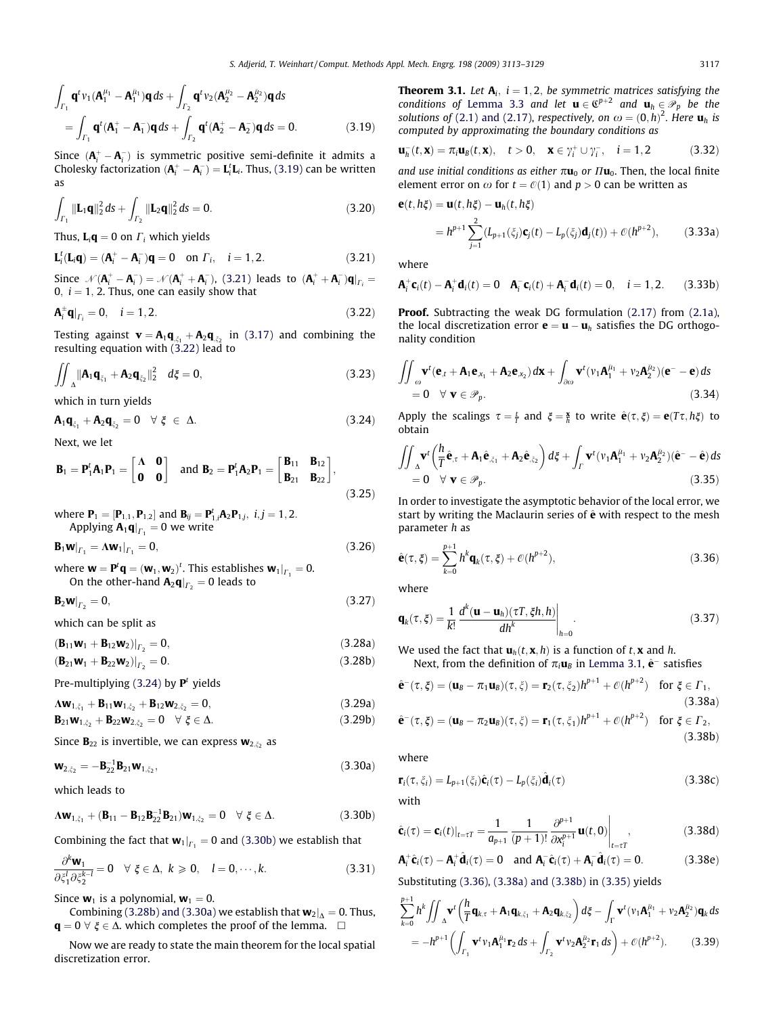<span id="page-4-0"></span>
$$
\int_{\Gamma_1} \mathbf{q}^t v_1 (\mathbf{A}_1^{\mu_1} - \mathbf{A}_1^{\bar{\mu}_1}) \mathbf{q} \, ds + \int_{\Gamma_2} \mathbf{q}^t v_2 (\mathbf{A}_2^{\mu_2} - \mathbf{A}_2^{\bar{\mu}_2}) \mathbf{q} \, ds \n= \int_{\Gamma_1} \mathbf{q}^t (\mathbf{A}_1^+ - \mathbf{A}_1^-) \mathbf{q} \, ds + \int_{\Gamma_2} \mathbf{q}^t (\mathbf{A}_2^+ - \mathbf{A}_2^-) \mathbf{q} \, ds = 0.
$$
\n(3.19)

Since  $(A_i^+ - A_i^-)$  is symmetric positive semi-definite it admits a Cholesky factorization  $(A_i^+ - A_i^-) = L_i^t L_i$ . Thus, (3.19) can be written as

$$
\int_{\Gamma_1} \|\mathbf{L}_1 \mathbf{q}\|_2^2 ds + \int_{\Gamma_2} \|\mathbf{L}_2 \mathbf{q}\|_2^2 ds = 0.
$$
 (3.20)

Thus,  $\mathbf{L}_i \mathbf{q} = 0$  on  $\Gamma_i$  which yields

$$
\mathbf{L}_{i}^{t}(\mathbf{L}_{i}\mathbf{q}) = (\mathbf{A}_{i}^{+} - \mathbf{A}_{i}^{-})\mathbf{q} = 0 \quad \text{on } \Gamma_{i}, \quad i = 1, 2. \tag{3.21}
$$

Since  $\mathcal{N}(\mathbf{A}_{i}^{+} - \mathbf{A}_{i}^{-}) = \mathcal{N}(\mathbf{A}_{i}^{+} + \mathbf{A}_{i}^{-})$ , (3.21) leads to  $(\mathbf{A}_{i}^{+} + \mathbf{A}_{i}^{-})\mathbf{q}|_{\Gamma_{i}} =$ 0,  $i = 1, 2$ . Thus, one can easily show that

$$
\mathbf{A}_i^{\pm} \mathbf{q}|_{\Gamma_i} = 0, \quad i = 1, 2. \tag{3.22}
$$

Testing against  $\mathbf{v} = \mathbf{A}_1 \mathbf{q}_{\xi_1} + \mathbf{A}_2 \mathbf{q}_{\xi_2}$  in [\(3.17\)](#page-3-0) and combining the resulting equation with (3.22) lead to

$$
\iint_{\Delta} \|\mathbf{A}_1 \mathbf{q}_{\xi_1} + \mathbf{A}_2 \mathbf{q}_{\xi_2}\|_2^2 \quad d\xi = 0,
$$
\n(3.23)

which in turn yields

$$
\mathbf{A}_1 \mathbf{q}_{\xi_1} + \mathbf{A}_2 \mathbf{q}_{\xi_2} = 0 \quad \forall \xi \in \Delta. \tag{3.24}
$$

Next, we let

$$
\mathbf{B}_1 = \mathbf{P}_1^t \mathbf{A}_1 \mathbf{P}_1 = \begin{bmatrix} \mathbf{\Lambda} & \mathbf{0} \\ \mathbf{0} & \mathbf{0} \end{bmatrix} \text{ and } \mathbf{B}_2 = \mathbf{P}_1^t \mathbf{A}_2 \mathbf{P}_1 = \begin{bmatrix} \mathbf{B}_{11} & \mathbf{B}_{12} \\ \mathbf{B}_{21} & \mathbf{B}_{22} \end{bmatrix},
$$
(3.25)

where  $P_1 = [P_{1,1}, P_{1,2}]$  and  $B_{ij} = P_{1,i}^t A_2 P_{1,j}, i,j = 1,2$ . Applying  ${\bf A}_1 {\bf q} |_{\Gamma_1} = 0$  we write

$$
\mathbf{B}_1 \mathbf{w}|_{\Gamma_1} = \Lambda \mathbf{w}_1|_{\Gamma_1} = 0, \tag{3.26}
$$

where  $\mathbf{w} = \mathbf{P}^t \mathbf{q} = (\mathbf{w}_1, \mathbf{w}_2)^t$ . This establishes  $\mathbf{w}_1|_{\Gamma_1} = 0$ . On the other-hand  ${\bf A}_2 {\bf q} |_{\Gamma_2} = 0$  leads to

$$
\mathbf{B}_2 \mathbf{w}|_{\Gamma_2} = 0,\tag{3.27}
$$

which can be split as

 $(\mathbf{B}_{11}\mathbf{w}_1 + \mathbf{B}_{12}\mathbf{w}_2)|_{\Gamma_2} = 0,$  (3.28a)

$$
(\mathbf{B}_{21}\mathbf{w}_1 + \mathbf{B}_{22}\mathbf{w}_2)|_{\Gamma_2} = 0. \tag{3.28b}
$$

Pre-multiplying (3.24) by  $P<sup>t</sup>$  yields

$$
\Lambda \mathbf{w}_{1,\xi_1} + \mathbf{B}_{11} \mathbf{w}_{1,\xi_2} + \mathbf{B}_{12} \mathbf{w}_{2,\xi_2} = 0, \tag{3.29a}
$$
\n
$$
\mathbf{B}_{21} \mathbf{w}_{1,\xi_2} + \mathbf{B}_{22} \mathbf{w}_{2,\xi_2} = 0 \quad \forall \xi \in \Delta. \tag{3.29b}
$$

Since  $\mathbf{B}_{22}$  is invertible, we can express  $\mathbf{w}_{2,\xi_2}$  as

$$
\mathbf{W}_{2,\zeta_2} = -\mathbf{B}_{22}^{-1}\mathbf{B}_{21}\mathbf{W}_{1,\zeta_2},\tag{3.30a}
$$

which leads to

$$
\Lambda \mathbf{w}_{1,\xi_1} + (\mathbf{B}_{11} - \mathbf{B}_{12} \mathbf{B}_{22}^{-1} \mathbf{B}_{21}) \mathbf{w}_{1,\xi_2} = 0 \quad \forall \xi \in \Delta.
$$
 (3.30b)

Combining the fact that  $\mathbf{w}_1|_{F_1} = 0$  and (3.30b) we establish that

$$
\frac{\partial^k \mathbf{w}_1}{\partial \zeta_1^l \partial \zeta_2^{k-l}} = 0 \quad \forall \ \xi \in \Delta, \ k \geqslant 0, \quad l = 0, \cdots, k. \tag{3.31}
$$

Since  $\mathbf{w}_1$  is a polynomial,  $\mathbf{w}_1 = 0$ .

Combining (3.28b) and (3.30a) we establish that  $\mathbf{w}_2|_{\Delta} = 0.$  Thus,  $\mathbf{q} = 0 \ \forall \ \xi \in \Delta$ , which completes the proof of the lemma.  $\Box$ 

Now we are ready to state the main theorem for the local spatial discretization error.

**Theorem 3.1.** Let  $A_i$ ,  $i = 1, 2$ , be symmetric matrices satisfying the conditions of [Lemma 3.3](#page-3-0) and let  $\mathbf{u} \in \mathbb{C}^{p+2}$  and  $\mathbf{u}_h \in \mathcal{P}_p$  be the solutions of [\(2.1\) and \(2.17\),](#page-1-0) respectively, on  $\omega = (0,h)^2.$  Here  $\mathbf{u}_h$  is computed by approximating the boundary conditions as

$$
\mathbf{u}_h^-(t,\mathbf{x}) = \pi_i \mathbf{u}_B(t,\mathbf{x}), \quad t > 0, \quad \mathbf{x} \in \gamma_i^+ \cup \gamma_i^-, \quad i = 1,2 \tag{3.32}
$$

and use initial conditions as either  $\pi u_0$  or  $\Pi u_0$ . Then, the local finite element error on  $\omega$  for  $t = \varnothing(1)$  and  $p > 0$  can be written as

$$
\mathbf{e}(t, h\xi) = \mathbf{u}(t, h\xi) - \mathbf{u}_h(t, h\xi)
$$
  
=  $h^{p+1} \sum_{j=1}^{2} (L_{p+1}(\xi_j)\mathbf{c}_j(t) - L_p(\xi_j)\mathbf{d}_j(t)) + \mathcal{O}(h^{p+2}),$  (3.33a)

where

$$
\mathbf{A}_i^+\mathbf{c}_i(t) - \mathbf{A}_i^+\mathbf{d}_i(t) = 0 \quad \mathbf{A}_i^-\mathbf{c}_i(t) + \mathbf{A}_i^-\mathbf{d}_i(t) = 0, \quad i = 1, 2. \tag{3.33b}
$$

Proof. Subtracting the weak DG formulation [\(2.17\)](#page-2-0) from [\(2.1a\),](#page-1-0) the local discretization error  $\mathbf{e} = \mathbf{u} - \mathbf{u}_h$  satisfies the DG orthogonality condition

$$
\iint_{\omega} \mathbf{v}^t (\mathbf{e}_{,t} + \mathbf{A}_1 \mathbf{e}_{,x_1} + \mathbf{A}_2 \mathbf{e}_{,x_2}) d\mathbf{x} + \int_{\partial \omega} \mathbf{v}^t (\nu_1 \mathbf{A}_1^{\mu_1} + \nu_2 \mathbf{A}_2^{\mu_2}) (\mathbf{e}^- - \mathbf{e}) ds
$$
\n
$$
= 0 \quad \forall \ \mathbf{v} \in \mathscr{P}_p. \tag{3.34}
$$

Apply the scalings  $\tau = \frac{t}{T}$  and  $\xi = \frac{\mathbf{x}}{h}$  to write  $\hat{\mathbf{e}}(\tau, \xi) = \mathbf{e}(T\tau, h\xi)$  to obtain

$$
\iint_{\Delta} \mathbf{v}^{t} \left( \frac{h}{T} \hat{\mathbf{e}}_{,\tau} + \mathbf{A}_{1} \hat{\mathbf{e}}_{,\xi_{1}} + \mathbf{A}_{2} \hat{\mathbf{e}}_{,\xi_{2}} \right) d\xi + \int_{\Gamma} \mathbf{v}^{t} (\nu_{1} \mathbf{A}_{1}^{\bar{\mu}_{1}} + \nu_{2} \mathbf{A}_{2}^{\bar{\mu}_{2}}) (\hat{\mathbf{e}}^{-} - \hat{\mathbf{e}}) ds
$$
\n
$$
= 0 \quad \forall \ \mathbf{v} \in \mathscr{P}_{p}.
$$
\n(3.35)

In order to investigate the asymptotic behavior of the local error, we start by writing the Maclaurin series of  $\hat{\mathbf{e}}$  with respect to the mesh parameter h as

$$
\hat{\mathbf{e}}(\tau,\xi) = \sum_{k=0}^{p+1} h^k \mathbf{q}_k(\tau,\xi) + \mathcal{O}(h^{p+2}),
$$
\n(3.36)

where

$$
\mathbf{q}_k(\tau,\xi) = \frac{1}{k!} \frac{d^k(\mathbf{u} - \mathbf{u}_h)(\tau \tau, \xi h, h)}{dh^k} \bigg|_{h=0}.
$$
 (3.37)

We used the fact that  $\mathbf{u}_h(t, \mathbf{x}, h)$  is a function of t, x and h.

Next, from the definition of  $\pi_i \mathbf{u}_B$  in [Lemma 3.1](#page-3-0),  $\hat{\mathbf{e}}$  satisfies

$$
\hat{\mathbf{e}}^-(\tau,\xi) = (\mathbf{u}_B - \pi_1 \mathbf{u}_B)(\tau,\xi) = \mathbf{r}_2(\tau,\xi_2)h^{p+1} + \mathcal{O}(h^{p+2}) \quad \text{for } \xi \in \Gamma_1,
$$
\n(3.38a)

$$
\hat{\mathbf{e}}^{-}(\tau,\xi)=(\mathbf{u}_B-\pi_2\mathbf{u}_B)(\tau,\xi)=\mathbf{r}_1(\tau,\xi_1)h^{p+1}+\mathcal{O}(h^{p+2})\quad\text{for }\xi\in\Gamma_2,
$$
\n(3.38b)

where

$$
\mathbf{r}_i(\tau, \xi_i) = L_{p+1}(\xi_i)\hat{\mathbf{c}}_i(\tau) - L_p(\xi_i)\hat{\mathbf{d}}_i(\tau)
$$
(3.38c)

with

$$
\hat{\mathbf{c}}_i(\tau) = \mathbf{c}_i(t)|_{t=\tau T} = \frac{1}{a_{p+1}} \frac{1}{(p+1)!} \frac{\partial^{p+1}}{\partial x_i^{p+1}} \mathbf{u}(t,0) \Big|_{t=\tau T}, \qquad (3.38d)
$$

$$
\mathbf{A}_i^+ \hat{\mathbf{c}}_i(\tau) - \mathbf{A}_i^+ \hat{\mathbf{d}}_i(\tau) = 0 \quad \text{and } \mathbf{A}_i^- \hat{\mathbf{c}}_i(\tau) + \mathbf{A}_i^- \hat{\mathbf{d}}_i(\tau) = 0. \tag{3.38e}
$$

Substituting (3.36), (3.38a) and (3.38b) in (3.35) yields

$$
\sum_{k=0}^{p+1} h^k \iint_{\Delta} \mathbf{v}^t \left( \frac{h}{T} \mathbf{q}_{k,\tau} + \mathbf{A}_1 \mathbf{q}_{k,\xi_1} + \mathbf{A}_2 \mathbf{q}_{k,\xi_2} \right) d\xi - \int_{\Gamma} \mathbf{v}^t (v_1 \mathbf{A}_1^{\bar{\mu}_1} + v_2 \mathbf{A}_2^{\bar{\mu}_2}) \mathbf{q}_k ds
$$
  
= 
$$
-h^{p+1} \left( \int_{\Gamma_1} \mathbf{v}^t v_1 \mathbf{A}_1^{\mu_1} \mathbf{r}_2 ds + \int_{\Gamma_2} \mathbf{v}^t v_2 \mathbf{A}_2^{\mu_2} \mathbf{r}_1 ds \right) + \mathcal{O}(h^{p+2}).
$$
 (3.39)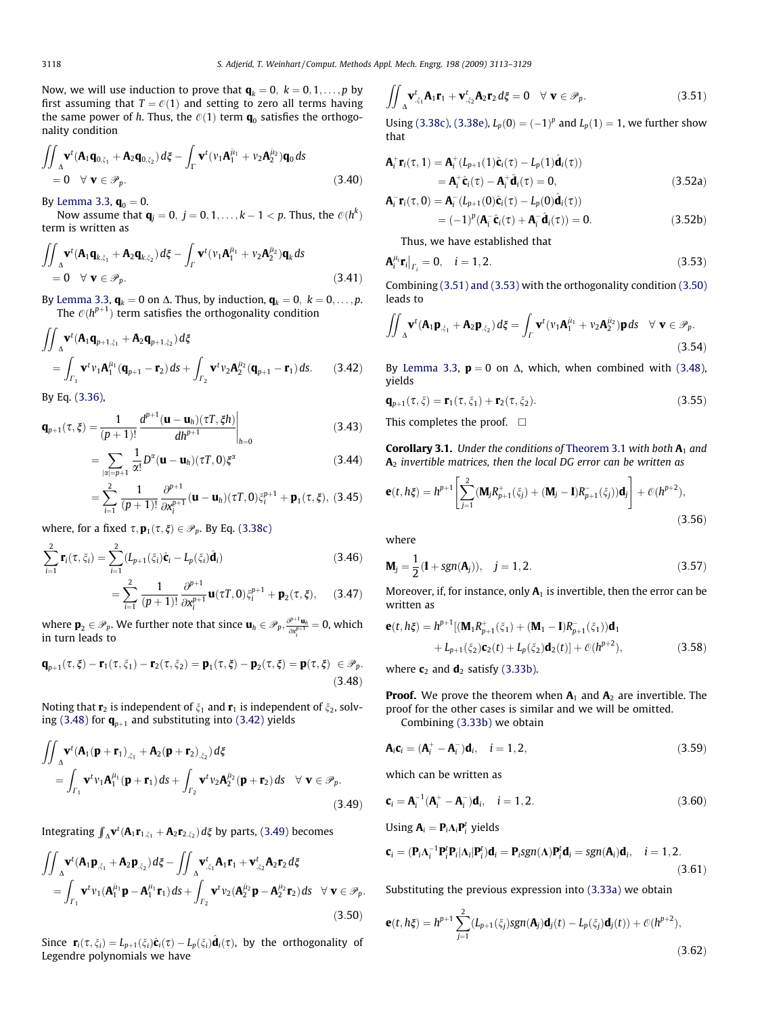Now, we will use induction to prove that  $\mathbf{q}_k = 0, k = 0, 1, \ldots, p$  by first assuming that  $T = \mathcal{O}(1)$  and setting to zero all terms having the same power of h. Thus, the  $\mathcal{O}(1)$  term  $\mathbf{q}_0$  satisfies the orthogonality condition

$$
\iint_{\Delta} \mathbf{v}^{t} (\mathbf{A}_{1} \mathbf{q}_{0,\xi_{1}} + \mathbf{A}_{2} \mathbf{q}_{0,\xi_{2}}) d\xi - \int_{\Gamma} \mathbf{v}^{t} (\nu_{1} \mathbf{A}_{1}^{\bar{\mu}_{1}} + \nu_{2} \mathbf{A}_{2}^{\bar{\mu}_{2}}) \mathbf{q}_{0} dS
$$
\n
$$
= 0 \quad \forall \ \mathbf{v} \in \mathscr{P}_{p}.
$$
\n(3.40)

By [Lemma 3.3](#page-3-0),  $q_0 = 0$ .

Now assume that  $\mathbf{q}_j = 0, \ j = 0, 1, \ldots, k-1 < p.$  Thus, the  $\mathcal{O}(h^k)$ term is written as

$$
\iint_{\Delta} \mathbf{v}^t (\mathbf{A}_1 \mathbf{q}_{k,\xi_1} + \mathbf{A}_2 \mathbf{q}_{k,\xi_2}) d\xi - \int_{\Gamma} \mathbf{v}^t (\nu_1 \mathbf{A}_1^{p_1} + \nu_2 \mathbf{A}_2^{p_2}) \mathbf{q}_k ds
$$
\n
$$
= 0 \quad \forall \ \mathbf{v} \in \mathscr{P}_p. \tag{3.41}
$$

By [Lemma 3.3](#page-3-0),  $\mathbf{q}_k = 0$  on  $\Delta$ . Thus, by induction,  $\mathbf{q}_k = 0, k = 0, \ldots, p$ . The  $\mathcal{O}(h^{p+1})$  term satisfies the orthogonality condition

$$
\iint_{\Delta} \mathbf{v}^{t} (\mathbf{A}_{1} \mathbf{q}_{p+1,\xi_{1}} + \mathbf{A}_{2} \mathbf{q}_{p+1,\xi_{2}}) d\xi
$$
\n
$$
= \int_{\Gamma_{1}} \mathbf{v}^{t} v_{1} \mathbf{A}_{1}^{R_{1}} (\mathbf{q}_{p+1} - \mathbf{r}_{2}) dS + \int_{\Gamma_{2}} \mathbf{v}^{t} v_{2} \mathbf{A}_{2}^{R_{2}} (\mathbf{q}_{p+1} - \mathbf{r}_{1}) dS. \qquad (3.42)
$$

By Eq. [\(3.36\),](#page-4-0)

 $\ddot{\phantom{2}}$ 

$$
\mathbf{q}_{p+1}(\tau,\xi) = \frac{1}{(p+1)!} \frac{d^{p+1}(\mathbf{u}-\mathbf{u}_h)(\tau T,\xi h)}{dh^{p+1}}\bigg|_{h=0}
$$
(3.43)

$$
=\sum_{|\alpha|=p+1}\frac{1}{\alpha!}D^{\alpha}(\mathbf{u}-\mathbf{u}_h)(\tau T,0)\xi^{\alpha}\tag{3.44}
$$

$$
=\sum_{i=1}^2\frac{1}{(p+1)!}\frac{\partial^{p+1}}{\partial x_i^{p+1}}(\bm{u}-\bm{u}_h)(\tau T,0)\xi_i^{p+1}+\bm{p}_1(\tau,\xi),\ (3.45)
$$

where, for a fixed  $\tau$ ,  $\mathbf{p}_1(\tau, \xi) \in \mathscr{P}_p$ . By Eq. [\(3.38c\)](#page-4-0)

 $(p + 1)!$ 

 $i=1$ 

$$
\sum_{i=1}^{2} \mathbf{r}_{i}(\tau, \xi_{i}) = \sum_{i=1}^{2} (L_{p+1}(\xi_{i})\hat{\mathbf{c}}_{i} - L_{p}(\xi_{i})\hat{\mathbf{d}}_{i})
$$
(3.46)  

$$
= \sum_{i=1}^{2} \frac{1}{(p+1)!} \frac{\partial^{p+1}}{\partial x^{p+1}} \mathbf{u}(\tau T, 0) \xi_{i}^{p+1} + \mathbf{p}_{2}(\tau, \xi),
$$
(3.47)

where  $\mathbf{p}_2 \in \mathscr{P}_p$ . We further note that since  $\mathbf{u}_h \in \mathscr{P}_p$ ,  $\frac{\partial^{p+1} \mathbf{u}_h}{\partial x_l^{p+1}} = 0$ , which in turn leads to

 $\partial x_i^{p+1}$ 

$$
\mathbf{q}_{p+1}(\tau,\xi) - \mathbf{r}_1(\tau,\xi_1) - \mathbf{r}_2(\tau,\xi_2) = \mathbf{p}_1(\tau,\xi) - \mathbf{p}_2(\tau,\xi) = \mathbf{p}(\tau,\xi) \in \mathcal{P}_p.
$$
\n(3.48)

Noting that  $\mathbf{r}_2$  is independent of  $\xi_1$  and  $\mathbf{r}_1$  is independent of  $\xi_2$ , solving (3.48) for  $\mathbf{q}_{p+1}$  and substituting into (3.42) yields

$$
\iint_{\Delta} \mathbf{v}^{t} (\mathbf{A}_{1}(\mathbf{p}+\mathbf{r}_{1})_{,\xi_{1}} + \mathbf{A}_{2}(\mathbf{p}+\mathbf{r}_{2})_{,\xi_{2}}) d\xi
$$
\n
$$
= \int_{\Gamma_{1}} \mathbf{v}^{t} v_{1} \mathbf{A}_{1}^{\mu_{1}}(\mathbf{p}+\mathbf{r}_{1}) ds + \int_{\Gamma_{2}} \mathbf{v}^{t} v_{2} \mathbf{A}_{2}^{\mu_{2}}(\mathbf{p}+\mathbf{r}_{2}) ds \quad \forall \mathbf{v} \in \mathcal{P}_{p}.
$$
\n(3.49)

Integrating  $\int_{\Delta} \! \mathbf{v}^t (\mathbf{A}_1 \mathbf{r}_{1,\xi_1} + \mathbf{A}_2 \mathbf{r}_{2,\xi_2}) \, d \boldsymbol{\xi}$  by parts, (3.49) becomes

$$
\iint_{\Delta} \mathbf{v}^{t} (\mathbf{A}_{1} \mathbf{p}_{,\xi_{1}} + \mathbf{A}_{2} \mathbf{p}_{,\xi_{2}}) d\xi - \iint_{\Delta} \mathbf{v}_{,\xi_{1}}^{t} \mathbf{A}_{1} \mathbf{r}_{1} + \mathbf{v}_{,\xi_{2}}^{t} \mathbf{A}_{2} \mathbf{r}_{2} d\xi
$$
\n
$$
= \int_{\Gamma_{1}} \mathbf{v}^{t} v_{1} (\mathbf{A}_{1}^{\bar{\mu}_{1}} \mathbf{p} - \mathbf{A}_{1}^{\mu_{1}} \mathbf{r}_{1}) ds + \int_{\Gamma_{2}} \mathbf{v}^{t} v_{2} (\mathbf{A}_{2}^{\bar{\mu}_{2}} \mathbf{p} - \mathbf{A}_{2}^{\mu_{2}} \mathbf{r}_{2}) ds \quad \forall \mathbf{v} \in \mathcal{P}_{p}.
$$
\n(3.50)

Since  $\mathbf{r}_i(\tau, \xi_i) = L_{p+1}(\xi_i)\hat{\mathbf{c}}_i(\tau) - L_p(\xi_i)\hat{\mathbf{d}}_i(\tau)$ , by the orthogonality of Legendre polynomials we have

$$
\iint_{\Delta} \mathbf{v}_{,\xi_1}^t \mathbf{A}_1 \mathbf{r}_1 + \mathbf{v}_{,\xi_2}^t \mathbf{A}_2 \mathbf{r}_2 d\xi = 0 \quad \forall \ \mathbf{v} \in \mathscr{P}_p. \tag{3.51}
$$

Using [\(3.38c\), \(3.38e\)](#page-4-0),  $L_p(0) = (-1)^p$  and  $L_p(1) = 1$ , we further show that

$$
\mathbf{A}_i^+ \mathbf{r}_i(\tau, 1) = \mathbf{A}_i^+ (L_{p+1}(1)\hat{\mathbf{c}}_i(\tau) - L_p(1)\hat{\mathbf{d}}_i(\tau))
$$
  
= 
$$
\mathbf{A}_i^+ \hat{\mathbf{c}}_i(\tau) - \mathbf{A}_i^+ \hat{\mathbf{d}}_i(\tau) = 0,
$$
 (3.52a)

$$
\begin{aligned} \mathbf{A}_i^- \mathbf{r}_i(\tau, 0) &= \mathbf{A}_i^- (L_{p+1}(0)\hat{\mathbf{c}}_i(\tau) - L_p(0)\hat{\mathbf{d}}_i(\tau)) \\ &= (-1)^p (\mathbf{A}_i^- \hat{\mathbf{c}}_i(\tau) + \mathbf{A}_i^- \hat{\mathbf{d}}_i(\tau)) = 0. \end{aligned} \tag{3.52b}
$$

Thus, we have established that

$$
\mathbf{A}_{i}^{\mu_{i}}\mathbf{r}_{i}|_{\Gamma_{i}} = 0, \quad i = 1, 2. \tag{3.53}
$$

Combining (3.51) and (3.53) with the orthogonality condition (3.50) leads to

$$
\iint_{\Delta} \mathbf{v}^{t} (\mathbf{A}_{1} \mathbf{p}_{\xi_{1}} + \mathbf{A}_{2} \mathbf{p}_{\xi_{2}}) d\xi = \int_{\Gamma} \mathbf{v}^{t} (v_{1} \mathbf{A}_{1}^{\bar{\mu}_{1}} + v_{2} \mathbf{A}_{2}^{\bar{\mu}_{2}}) \mathbf{p} ds \quad \forall \ \mathbf{v} \in \mathcal{P}_{p}.
$$
\n(3.54)

By [Lemma 3.3,](#page-3-0)  $\mathbf{p} = 0$  on  $\Delta$ , which, when combined with (3.48), yields

$$
\mathbf{q}_{p+1}(\tau,\xi) = \mathbf{r}_1(\tau,\xi_1) + \mathbf{r}_2(\tau,\xi_2). \tag{3.55}
$$

This completes the proof.  $\Box$ 

**Corollary 3.1.** Under the conditions of [Theorem 3.1](#page-4-0) with both  $A_1$  and  $A<sub>2</sub>$  invertible matrices, then the local DG error can be written as

$$
\mathbf{e}(t,h\xi) = h^{p+1} \left[ \sum_{j=1}^{2} (\mathbf{M}_j R_{p+1}^+(\xi_j) + (\mathbf{M}_j - \mathbf{I}) R_{p+1}^-(\xi_j)) \mathbf{d}_j \right] + \mathcal{O}(h^{p+2}),
$$
\n(3.56)

where

$$
\mathbf{M}_{j} = \frac{1}{2}(\mathbf{I} + sgn(\mathbf{A}_{j})), \quad j = 1, 2.
$$
 (3.57)

Moreover, if, for instance, only  $A_1$  is invertible, then the error can be written as

$$
\mathbf{e}(t, h\xi) = h^{p+1}[(\mathbf{M}_1 R_{p+1}^+(\xi_1) + (\mathbf{M}_1 - \mathbf{I})R_{p+1}^-(\xi_1))\mathbf{d}_1 + L_{p+1}(\xi_2)\mathbf{c}_2(t) + L_p(\xi_2)\mathbf{d}_2(t)] + \mathcal{O}(h^{p+2}),
$$
(3.58)

where  $c_2$  and  $d_2$  satisfy [\(3.33b\)](#page-4-0).

**Proof.** We prove the theorem when  $A_1$  and  $A_2$  are invertible. The proof for the other cases is similar and we will be omitted. Combining [\(3.33b\)](#page-4-0) we obtain

$$
\mathbf{A}_i \mathbf{c}_i = (\mathbf{A}_i^+ - \mathbf{A}_i^-) \mathbf{d}_i, \quad i = 1, 2,
$$
\n(3.59)

which can be written as

$$
\mathbf{c}_{i} = \mathbf{A}_{i}^{-1}(\mathbf{A}_{i}^{+} - \mathbf{A}_{i}^{-})\mathbf{d}_{i}, \quad i = 1, 2.
$$
 (3.60)

Using  $A_i = P_i \Lambda_i P_i^t$  yields

$$
\mathbf{c}_i = (\mathbf{P}_i \Lambda_i^{-1} \mathbf{P}_i^t \mathbf{P}_i | \Lambda_i | \mathbf{P}_i^t) \mathbf{d}_i = \mathbf{P}_i sgn(\Lambda) \mathbf{P}_i^t \mathbf{d}_i = sgn(\mathbf{A}_i) \mathbf{d}_i, \quad i = 1, 2.
$$
\n(3.61)

Substituting the previous expression into [\(3.33a\)](#page-4-0) we obtain

$$
\mathbf{e}(t,h\xi) = h^{p+1} \sum_{j=1}^{2} (L_{p+1}(\xi_j) sgn(\mathbf{A}_j) \mathbf{d}_j(t) - L_p(\xi_j) \mathbf{d}_j(t)) + \mathcal{O}(h^{p+2}),
$$
\n(3.62)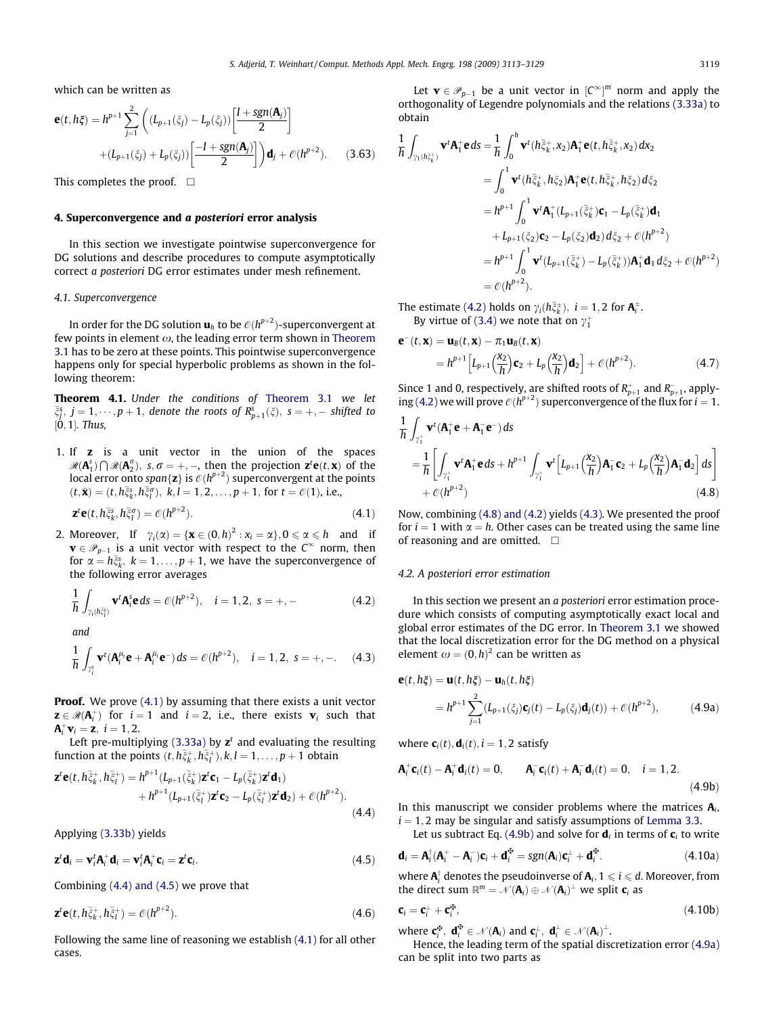1 h

<span id="page-6-0"></span>which can be written as

$$
\mathbf{e}(t, h\xi) = h^{p+1} \sum_{j=1}^{2} \left( (L_{p+1}(\xi_j) - L_p(\xi_j)) \left[ \frac{I + sgn(\mathbf{A}_j)}{2} \right] + (L_{p+1}(\xi_j) + L_p(\xi_j)) \left[ \frac{-I + sgn(\mathbf{A}_j)}{2} \right] \right) \mathbf{d}_j + \mathcal{O}(h^{p+2}).
$$
 (3.63)

This completes the proof.  $\Box$ 

#### 4. Superconvergence and a posteriori error analysis

In this section we investigate pointwise superconvergence for DG solutions and describe procedures to compute asymptotically correct a posteriori DG error estimates under mesh refinement.

#### 4.1. Superconvergence

In order for the DG solution  $\mathbf{u}_h$  to be  $\mathcal{O}(h^{p+2})$ -superconvergent at few points in element  $\omega$ , the leading error term shown in [Theorem](#page-4-0) [3.1](#page-4-0) has to be zero at these points. This pointwise superconvergence happens only for special hyperbolic problems as shown in the following theorem:

Theorem 4.1. Under the conditions of [Theorem 3.1](#page-4-0) we let  $\bar{\xi}^s_j, \ j=1,\cdots,p+1,$  denote the roots of  $R^s_{p+1}(\xi), \ s=+,-$  shifted to  $[0, 1]$ . Thus,

1. If z is a unit vector in the union of the spaces  $\mathcal{R}(\mathbf{A}_1^s) \bigcap \mathcal{R}(\mathbf{A}_2^{\sigma})$ , s,  $\sigma = +, -$ , then the projection  $\mathbf{z}^t \mathbf{e}(t, \mathbf{x})$  of the local error onto span $\{z\}$  is  $\mathcal O(h^{p+2})$  superconvergent at the points  $(t, \bar{\mathbf{x}}) = (t, h\xi_k^s, h\xi_l^{\sigma})$ ,  $k, l = 1, 2, ..., p + 1$ , for  $t = \mathcal{O}(1)$ , i.e.,

$$
\mathbf{z}^t \mathbf{e}(t, h\xi_k, h\xi_l^{\sigma}) = \mathcal{O}(h^{p+2}).
$$
\n(4.1)

2. Moreover, If  $\gamma_i(\alpha) = {\mathbf{x} \in (0, h)^2 : x_i = \alpha}$ ,  $0 \le \alpha \le h$  and if  $\mathbf{v} \in \mathcal{P}_{p-1}$  is a unit vector with respect to the  $C^{\infty}$  norm, then for  $\alpha = h_{\epsilon_k}^{\bar{z}_s}$ ,  $k = 1, \ldots, p + 1$ , we have the superconvergence of the following error averages

$$
\frac{1}{h} \int_{\gamma_i(h_{ij}^{s})} \mathbf{v}^t \mathbf{A}_i^s \mathbf{e} \, ds = \mathcal{O}(h^{p+2}), \quad i = 1, 2, \ s = +, -
$$
\n(4.2)

and

$$
\frac{1}{h}\int_{\gamma_i^s}\bm{v}^t(\bm{A}_i^{\mu_i}\bm{e}+\bm{A}_i^{\bar{\mu}_i}\bm{e}^-) \, ds = \mathcal{O}(h^{p+2}), \quad i=1,2, \ s=+,-.\quad \ \ (4.3)
$$

**Proof.** We prove (4.1) by assuming that there exists a unit vector  $z \in \mathcal{R}(A_i^+)$  for  $i = 1$  and  $i = 2$ , i.e., there exists  $v_i$  such that  $A_i^+ \mathbf{v}_i = \mathbf{z}, i = 1, 2.$ 

Left pre-multiplying [\(3.33a\)](#page-4-0) by  $z<sup>t</sup>$  and evaluating the resulting function at the points  $(t, h\bar{\xi}_k^+, h\bar{\xi}_l^+), k, l = 1, \ldots, p + 1$  obtain

$$
\mathbf{z}^t \mathbf{e}(t, h\bar{\xi}_k^+, h\bar{\xi}_l^+) = h^{p+1} (L_{p+1}(\bar{\xi}_k^+) \mathbf{z}^t \mathbf{c}_1 - L_p(\bar{\xi}_k^+) \mathbf{z}^t \mathbf{d}_1) + h^{p+1} (L_{p+1}(\bar{\xi}_l^+) \mathbf{z}^t \mathbf{c}_2 - L_p(\bar{\xi}_l^+) \mathbf{z}^t \mathbf{d}_2) + \mathcal{O}(h^{p+2}).
$$
\n(4.4)

Applying [\(3.33b\)](#page-4-0) yields

$$
\mathbf{z}^t \mathbf{d}_i = \mathbf{v}_i^t \mathbf{A}_i^+ \mathbf{d}_i = \mathbf{v}_i^t \mathbf{A}_i^+ \mathbf{c}_i = \mathbf{z}^t \mathbf{c}_i.
$$
 (4.5)

Combining (4.4) and (4.5) we prove that

 $\mathbf{z}^t \mathbf{e}(t,h\overline{\xi}_k^+,h\overline{\xi}_l^+) = \mathcal{O}(h^{p+2})$  $(4.6)$ 

Following the same line of reasoning we establish (4.1) for all other cases.

Let  $\mathbf{v} \in \mathcal{P}_{p-1}$  be a unit vector in  $[C^{\infty}]^m$  norm and apply the orthogonality of Legendre polynomials and the relations [\(3.33a\)](#page-4-0) to obtain

$$
\int_{\gamma_1(h_{\xi_k}^{\pm})} \mathbf{v}^t \mathbf{A}_1^+ \mathbf{e} d\mathbf{s} = \frac{1}{h} \int_0^h \mathbf{v}^t(h_{\xi_k}^{\mp}, x_2) \mathbf{A}_1^+ \mathbf{e}(t, h_{\xi_k}^{\mp}, x_2) dx_2
$$
\n
$$
= \int_0^1 \mathbf{v}^t(h_{\xi_k}^{\mp}, h_{\xi_2}) \mathbf{A}_1^+ \mathbf{e}(t, h_{\xi_k}^{\mp}, h_{\xi_2}^*) d\xi_2
$$
\n
$$
= h^{p+1} \int_0^1 \mathbf{v}^t \mathbf{A}_1^+ (L_{p+1}(\tilde{\xi}_k^+) \mathbf{c}_1 - L_p(\tilde{\xi}_k^+) \mathbf{d}_1
$$
\n
$$
+ L_{p+1}(\xi_2) \mathbf{c}_2 - L_p(\xi_2) \mathbf{d}_2) d\xi_2 + \mathcal{O}(h^{p+2})
$$
\n
$$
= h^{p+1} \int_0^1 \mathbf{v}^t(L_{p+1}(\tilde{\xi}_k^+) - L_p(\tilde{\xi}_k^+)) \mathbf{A}_1^+ \mathbf{d}_1 d\xi_2 + \mathcal{O}(h^{p+2})
$$
\n
$$
= \mathcal{O}(h^{p+2}).
$$

The estimate (4.2) holds on  $\gamma_i(h\bar{\xi}_k^{\pm}),\ i=1,2$  for  $\mathbf{A}_i^{\pm}.$ 

By virtue of [\(3.4\)](#page-2-0) we note that on  $\gamma_1^+$ 

$$
\begin{split} \mathbf{e}^{-}(t,\mathbf{x}) &= \mathbf{u}_{B}(t,\mathbf{x}) - \pi_{1}\mathbf{u}_{B}(t,\mathbf{x}) \\ &= h^{p+1} \left[ L_{p+1} \left( \frac{\mathbf{x}_{2}}{h} \right) \mathbf{c}_{2} + L_{p} \left( \frac{\mathbf{x}_{2}}{h} \right) \mathbf{d}_{2} \right] + \mathcal{O}(h^{p+2}). \end{split} \tag{4.7}
$$

Since 1 and 0, respectively, are shifted roots of  $R_{p+1}^+$  and  $R_{p+1}^-$ , applying (4.2) we will prove  $\mathcal{O}(h^{p+2})$  superconvergence of the flux for  $i = 1$ .

$$
\frac{1}{h} \int_{\gamma_1^+} \mathbf{v}^t (\mathbf{A}_1^+ \mathbf{e} + \mathbf{A}_1^- \mathbf{e}^-) ds
$$
\n
$$
= \frac{1}{h} \left[ \int_{\gamma_1^+} \mathbf{v}^t \mathbf{A}_1^+ \mathbf{e} ds + h^{p+1} \int_{\gamma_1^+} \mathbf{v}^t \left[ L_{p+1} \left( \frac{\chi_2}{h} \right) \mathbf{A}_1^- \mathbf{c}_2 + L_p \left( \frac{\chi_2}{h} \right) \mathbf{A}_1^- \mathbf{d}_2 \right] ds \right]
$$
\n
$$
+ \mathcal{O}(h^{p+2}) \tag{4.8}
$$

Now, combining (4.8) and (4.2) yields (4.3). We presented the proof for  $i = 1$  with  $\alpha = h$ . Other cases can be treated using the same line of reasoning and are omitted.  $\square$ 

#### 4.2. A posteriori error estimation

In this section we present an a posteriori error estimation procedure which consists of computing asymptotically exact local and global error estimates of the DG error. In [Theorem 3.1](#page-4-0) we showed that the local discretization error for the DG method on a physical element  $\omega = (0, h)^2$  can be written as

$$
\mathbf{e}(t, h\xi) = \mathbf{u}(t, h\xi) - \mathbf{u}_h(t, h\xi)
$$
  
=  $h^{p+1} \sum_{j=1}^2 (L_{p+1}(\xi_j)\mathbf{c}_j(t) - L_p(\xi_j)\mathbf{d}_j(t)) + \mathcal{O}(h^{p+2}),$  (4.9a)

where  $\mathbf{c}_i(t), \mathbf{d}_i(t), i = 1, 2$  satisfy

$$
\mathbf{A}_i^+ \mathbf{c}_i(t) - \mathbf{A}_i^+ \mathbf{d}_i(t) = 0, \qquad \mathbf{A}_i^- \mathbf{c}_i(t) + \mathbf{A}_i^- \mathbf{d}_i(t) = 0, \quad i = 1, 2.
$$
\n(4.9b)

In this manuscript we consider problems where the matrices  $A_i$ ,  $i = 1, 2$  may be singular and satisfy assumptions of [Lemma 3.3](#page-3-0).

Let us subtract Eq. (4.9b) and solve for  $\mathbf{d}_i$  in terms of  $\mathbf{c}_i$  to write

$$
\mathbf{d}_i = \mathbf{A}_i^{\dagger} (\mathbf{A}_i^+ - \mathbf{A}_i^-) \mathbf{c}_i + \mathbf{d}_i^{\mathbf{x}_i} = \text{sgn}(\mathbf{A}_i) \mathbf{c}_i^{\perp} + \mathbf{d}_i^{\mathbf{x}_i}.
$$
 (4.10a)

where  $\mathbf{A}_i^\dagger$  denotes the pseudoinverse of  $\mathbf{A}_i, 1 \leqslant i \leqslant d.$  Moreover, from the direct sum  $\mathbb{R}^m = \mathcal{N}(\mathbf{A}_i) \oplus \mathcal{N}(\mathbf{A}_i)^\perp$  we split  $\mathbf{c}_i$  as

$$
\mathbf{c}_i = \mathbf{c}_i^{\perp} + \mathbf{c}_i^{\mathbf{x}},\tag{4.10b}
$$

where  $\mathbf{c}_i^{\mathbf{\pi}}$ ,  $\mathbf{d}_i^{\mathbf{\pi}} \in \mathcal{N}(\mathbf{A}_i)$  and  $\mathbf{c}_i^{\perp}$ ,  $\mathbf{d}_i^{\perp} \in \mathcal{N}(\mathbf{A}_i)^{\perp}$ .

Hence, the leading term of the spatial discretization error (4.9a) can be split into two parts as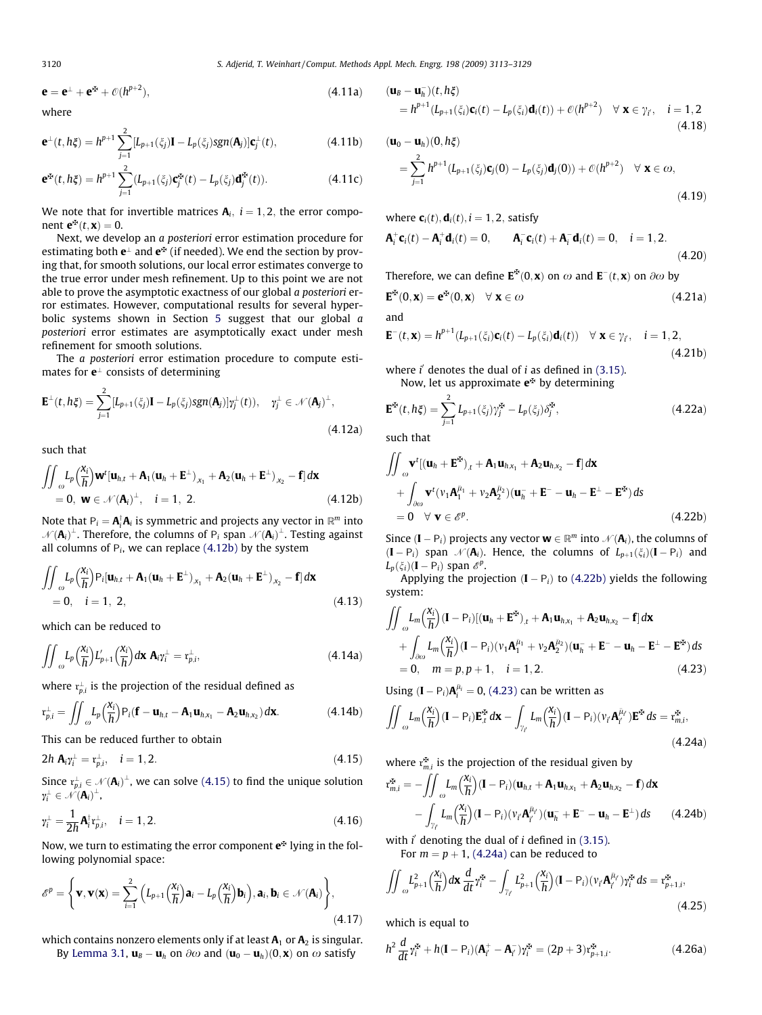<span id="page-7-0"></span>
$$
\mathbf{e} = \mathbf{e}^{\perp} + \mathbf{e}^{\mathbf{x}} + \mathcal{O}(h^{p+2}),\tag{4.11a}
$$

where

$$
\mathbf{e}^{\perp}(t,h\xi) = h^{p+1} \sum_{j=1}^{2} [L_{p+1}(\xi_j)\mathbf{I} - L_p(\xi_j)sgn(\mathbf{A}_j)]\mathbf{c}_j^{\perp}(t),
$$
(4.11b)

$$
\mathbf{e}^{\mathbf{x}}(t,h\xi) = h^{p+1} \sum_{j=1}^{2} (L_{p+1}(\xi_j) \mathbf{c}^{\mathbf{x}}_j(t) - L_p(\xi_j) \mathbf{d}^{\mathbf{x}}_j(t)).
$$
 (4.11c)

We note that for invertible matrices  $A_i$ ,  $i = 1, 2$ , the error component  $\mathbf{e}^{\mathbf{\Phi}}(t,\mathbf{x})=0$ .

Next, we develop an a posteriori error estimation procedure for estimating both  $e^{\perp}$  and  $e^{x}$  (if needed). We end the section by proving that, for smooth solutions, our local error estimates converge to the true error under mesh refinement. Up to this point we are not able to prove the asymptotic exactness of our global a posteriori error estimates. However, computational results for several hyperbolic systems shown in Section [5](#page-9-0) suggest that our global a posteriori error estimates are asymptotically exact under mesh refinement for smooth solutions.

The a posteriori error estimation procedure to compute estimates for  $e^{\perp}$  consists of determining

$$
\mathbf{E}^{\perp}(t,h\xi) = \sum_{j=1}^{2} [L_{p+1}(\xi_j)\mathbf{I} - L_p(\xi_j)sgn(\mathbf{A}_j)]\gamma_j^{\perp}(t)), \quad \gamma_j^{\perp} \in \mathcal{N}(\mathbf{A}_j)^{\perp},
$$
\n(4.12a)

such that

$$
\iint_{\omega} L_p\left(\frac{x_i}{h}\right) \mathbf{w}^t [\mathbf{u}_{h,t} + \mathbf{A}_1(\mathbf{u}_h + \mathbf{E}^\perp)_{x_1} + \mathbf{A}_2(\mathbf{u}_h + \mathbf{E}^\perp)_{x_2} - \mathbf{f}] d\mathbf{x}
$$
  
= 0,  $\mathbf{w} \in \mathcal{N}(\mathbf{A}_i)^\perp$ ,  $i = 1, 2$ . (4.12b)

Note that  $P_i = A_i^{\dagger} A_i$  is symmetric and projects any vector in  $\mathbb{R}^m$  into  $\mathcal{N}(\bm{A}_i)^\perp$ . Therefore, the columns of P<sub>i</sub> span  $\mathcal{N}(\bm{A}_i)^\perp$ . Testing against all columns of  $P_i$ , we can replace (4.12b) by the system

$$
\iint_{\omega} L_p \left(\frac{x_i}{h}\right) P_i \left[\mathbf{u}_{h,t} + \mathbf{A}_1 (\mathbf{u}_h + \mathbf{E}^\perp)_{x_1} + \mathbf{A}_2 (\mathbf{u}_h + \mathbf{E}^\perp)_{x_2} - \mathbf{f}\right] d\mathbf{x}
$$
\n
$$
= 0, \quad i = 1, 2,
$$
\n(4.13)

which can be reduced to

$$
\iint_{\omega} L_p\left(\frac{x_i}{h}\right) L'_{p+1}\left(\frac{x_i}{h}\right) d\mathbf{x} \mathbf{A}_i \gamma_i^{\perp} = \mathbf{r}_{p,i}^{\perp},\tag{4.14a}
$$

where  $\mathfrak{r}^\perp_{p,i}$  is the projection of the residual defined as

$$
\mathbf{r}_{p,i}^{\perp} = \iint_{\omega} L_p \left(\frac{\mathbf{x}_i}{h}\right) \mathbf{P}_i (\mathbf{f} - \mathbf{u}_{h,t} - \mathbf{A}_1 \mathbf{u}_{h,x_1} - \mathbf{A}_2 \mathbf{u}_{h,x_2}) d\mathbf{x}.
$$
 (4.14b)

This can be reduced further to obtain

$$
2h \mathbf{A}_i \gamma_i^{\perp} = \mathbf{r}_{p,i}^{\perp}, \quad i = 1, 2. \tag{4.15}
$$

Since  $\mathfrak{r}_{p,i}^{\perp} \in \mathcal{N}(\mathbf{A}_i)^{\perp}$ , we can solve (4.15) to find the unique solution  $\gamma_i^\perp \in \dot{\mathscr{N}}(\mathbf{A}_i)^\perp,$ 

$$
\gamma_i^{\perp} = \frac{1}{2h} \mathbf{A}_i^{\dagger} \mathbf{r}_{p,i}^{\perp}, \quad i = 1, 2. \tag{4.16}
$$

Now, we turn to estimating the error component  $e^{i\phi}$  lying in the following polynomial space:

$$
\mathscr{E}^p = \left\{ \mathbf{v}, \mathbf{v}(\mathbf{x}) = \sum_{i=1}^2 \left( L_{p+1} \left( \frac{\mathbf{x}_i}{h} \right) \mathbf{a}_i - L_p \left( \frac{\mathbf{x}_i}{h} \right) \mathbf{b}_i \right), \mathbf{a}_i, \mathbf{b}_i \in \mathcal{N}(\mathbf{A}_i) \right\},\tag{4.17}
$$

which contains nonzero elements only if at least  $A_1$  or  $A_2$  is singular. By [Lemma 3.1](#page-3-0),  $\mathbf{u}_B - \mathbf{u}_h$  on  $\partial \omega$  and  $(\mathbf{u}_0 - \mathbf{u}_h)(0, \mathbf{x})$  on  $\omega$  satisfy

$$
(\mathbf{u}_{B} - \mathbf{u}_{h}^{-})(t, h\xi)
$$
  
=  $h^{p+1}(L_{p+1}(\xi_{i})\mathbf{c}_{i}(t) - L_{p}(\xi_{i})\mathbf{d}_{i}(t)) + \mathcal{O}(h^{p+2}) \quad \forall \mathbf{x} \in \gamma_{i'}, \quad i = 1, 2$   
(4.18)

$$
(\mathbf{u}_0 - \mathbf{u}_h)(0, h\xi)
$$
  
=  $\sum_{j=1}^2 h^{p+1} (L_{p+1}(\xi_j) \mathbf{c}_j(0) - L_p(\xi_j) \mathbf{d}_j(0)) + \mathcal{O}(h^{p+2}) \quad \forall \mathbf{x} \in \omega,$   
(4.19)

where  $\mathbf{c}_i(t), \mathbf{d}_i(t), i = 1, 2$ , satisfy

$$
\mathbf{A}_i^+ \mathbf{c}_i(t) - \mathbf{A}_i^+ \mathbf{d}_i(t) = 0, \qquad \mathbf{A}_i^- \mathbf{c}_i(t) + \mathbf{A}_i^- \mathbf{d}_i(t) = 0, \quad i = 1, 2.
$$
\n(4.20)

Therefore, we can define  $\mathbf{E}^{\mathbf{x}}(0,\mathbf{x})$  on  $\omega$  and  $\mathbf{E}^-(t,\mathbf{x})$  on  $\partial\omega$  by

$$
\mathbf{E}^{\mathbf{x}}(0,\mathbf{x}) = \mathbf{e}^{\mathbf{x}}(0,\mathbf{x}) \quad \forall \mathbf{x} \in \omega \tag{4.21a}
$$

and

$$
\mathbf{E}^-(t,\mathbf{x}) = h^{p+1}(L_{p+1}(\zeta_i)\mathbf{c}_i(t) - L_p(\zeta_i)\mathbf{d}_i(t)) \quad \forall \mathbf{x} \in \gamma_i, \quad i = 1, 2,
$$
\n(4.21b)

where  $i'$  denotes the dual of  $i$  as defined in [\(3.15\).](#page-3-0) Now, let us approximate  $e^{x}$  by determining

$$
\mathbf{E}^{\mathbf{x}}(t, h\xi) = \sum_{j=1}^{2} L_{p+1}(\xi_j) \gamma_j^{\mathbf{x}} - L_p(\xi_j) \delta_j^{\mathbf{x}},
$$
 (4.22a)

such that ZZ

$$
\iint_{\omega} \mathbf{v}^{t} [(\mathbf{u}_{h} + \mathbf{E}^{x})_{,t} + \mathbf{A}_{1} \mathbf{u}_{h,x_{1}} + \mathbf{A}_{2} \mathbf{u}_{h,x_{2}} - \mathbf{f}] d\mathbf{x} \n+ \int_{\partial\omega} \mathbf{v}^{t} (\nu_{1} \mathbf{A}_{1}^{R_{1}} + \nu_{2} \mathbf{A}_{2}^{R_{2}}) (\mathbf{u}_{h}^{-} + \mathbf{E}^{-} - \mathbf{u}_{h} - \mathbf{E}^{\perp} - \mathbf{E}^{x}) ds \n= 0 \quad \forall \mathbf{v} \in \mathscr{E}^{p}.
$$
\n(4.22b)

Since  $(I - P_i)$  projects any vector  $\mathbf{w} \in \mathbb{R}^m$  into  $\mathcal{N}(\mathbf{A}_i)$ , the columns of  $(I - P_i)$  span  $\mathcal{N}(A_i)$ . Hence, the columns of  $L_{p+1}(\xi_i)(I - P_i)$  and  $L_p(\xi_i)(\mathbf{I}-\mathsf{P}_i)$  span  $\mathscr{E}^p$ .

Applying the projection  $(I - P_i)$  to (4.22b) yields the following system:

$$
\iint_{\omega} L_m\left(\frac{x_i}{h}\right) (\mathbf{I} - \mathbf{P}_i) [(\mathbf{u}_h + \mathbf{E}^x)_{,t} + \mathbf{A}_1 \mathbf{u}_{h,x_1} + \mathbf{A}_2 \mathbf{u}_{h,x_2} - \mathbf{f}] d\mathbf{x} \n+ \int_{\partial\omega} L_m\left(\frac{x_i}{h}\right) (\mathbf{I} - \mathbf{P}_i) (\nu_1 \mathbf{A}_1^{R_1} + \nu_2 \mathbf{A}_2^{R_2}) (\mathbf{u}_h^- + \mathbf{E}^- - \mathbf{u}_h - \mathbf{E}^\perp - \mathbf{E}^x) ds \n= 0, \quad m = p, p + 1, \quad i = 1, 2.
$$
\n(4.23)

Using  $(I - P_i)$  $A_i^{I_i} = 0$ , (4.23) can be written as

$$
\iint_{\omega} L_m\left(\frac{x_i}{h}\right)(\mathbf{I} - \mathsf{P}_i)\mathbf{E}_{,t}^{\mathsf{x}_t}d\mathbf{x} - \int_{\gamma_{t'}} L_m\left(\frac{x_i}{h}\right)(\mathbf{I} - \mathsf{P}_i)(\nu_{t'}\mathbf{A}_{t'}^{\bar{\mu}_{t'}})\mathbf{E}^{\mathsf{x}_t}ds = \mathbf{r}_{m,i}^{\mathsf{x}_t},\tag{4.24a}
$$

where  $r_{m,i}^*$  is the projection of the residual given by

$$
\mathbf{r}_{m,i}^{\mathbf{x}} = -\iint_{\gamma_{\ell}} L_m \left(\frac{\mathbf{x}_i}{h}\right) (\mathbf{I} - \mathbf{P}_i) (\mathbf{u}_{h,t} + \mathbf{A}_1 \mathbf{u}_{h,x_1} + \mathbf{A}_2 \mathbf{u}_{h,x_2} - \mathbf{f}) d\mathbf{x}
$$

$$
- \int_{\gamma_{\ell}} L_m \left(\frac{\mathbf{x}_i}{h}\right) (\mathbf{I} - \mathbf{P}_i) (\mathbf{v}_i \mathbf{A}_{\ell}^{\bar{H}_{\ell}}) (\mathbf{u}_h^- + \mathbf{E}^- - \mathbf{u}_h - \mathbf{E}^{\perp}) d\mathbf{s} \qquad (4.24b)
$$

with  $i'$  denoting the dual of  $i$  defined in [\(3.15\)](#page-3-0). For  $m = p + 1$ , (4.24a) can be reduced to

$$
\iint_{\omega} L_{p+1}^2 \left(\frac{x_i}{h}\right) d\mathbf{x} \frac{d}{dt} \gamma_i^{x_i} - \int_{\gamma_f} L_{p+1}^2 \left(\frac{x_i}{h}\right) (\mathbf{I} - P_i)(\nu_i \mathbf{A}_i^{\bar{\mu}_f}) \gamma_i^{x_i} ds = \mathbf{r}_{p+1,i}^{x_i},\tag{4.25}
$$

which is equal to

$$
h^{2} \frac{d}{dt} \gamma_{i}^{x} + h(I - P_{i}) (A_{i}^{+} - A_{i}^{-}) \gamma_{i}^{x} = (2p + 3) r_{p+1,i}^{x}
$$
 (4.26a)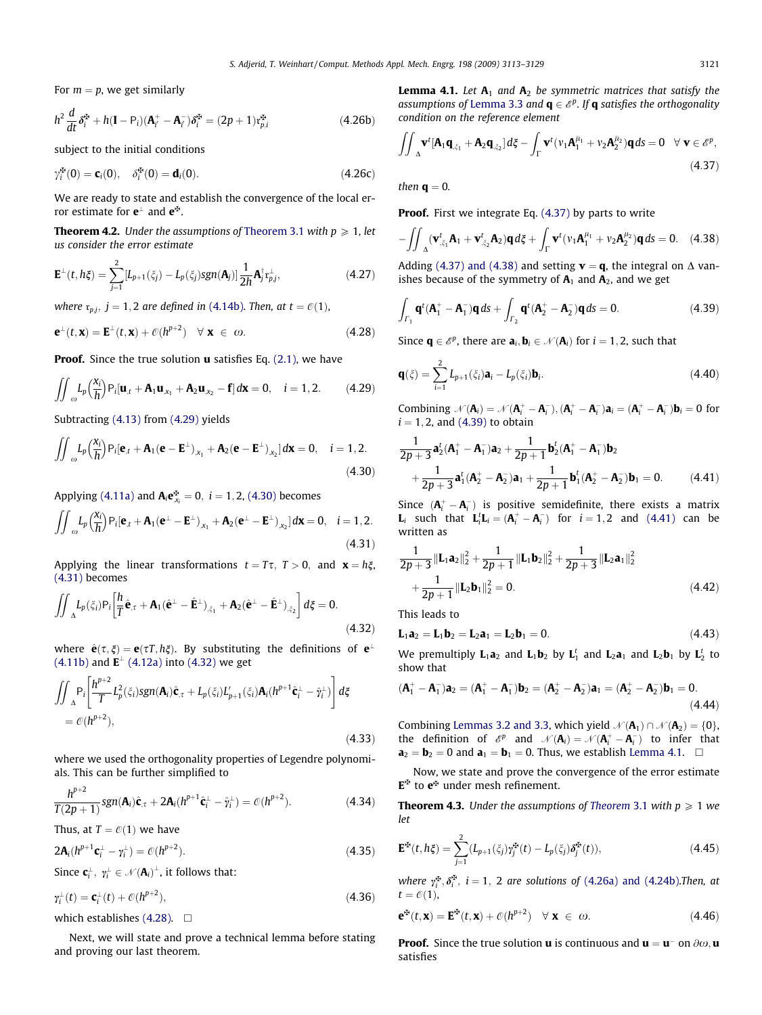<span id="page-8-0"></span>For  $m = p$ , we get similarly

$$
h^{2} \frac{d}{dt} \delta_{i}^{x_{i}} + h(\mathbf{I} - \mathbf{P}_{i})(\mathbf{A}_{i}^{+} - \mathbf{A}_{i}^{-}) \delta_{i}^{x_{i}} = (2p + 1)\mathbf{r}_{p,i}^{x_{i}} \tag{4.26b}
$$

subject to the initial conditions

$$
\gamma_i^{\mathbf{x}}(0) = \mathbf{c}_i(0), \quad \delta_i^{\mathbf{x}}(0) = \mathbf{d}_i(0). \tag{4.26c}
$$

We are ready to state and establish the convergence of the local error estimate for  $e^{\perp}$  and  $e^{\frac{x}{2}}$ .

**Theorem 4.2.** Under the assumptions of [Theorem 3.1](#page-4-0) with  $p \ge 1$ , let us consider the error estimate

$$
\mathbf{E}^{\perp}(t,h\xi) = \sum_{j=1}^{2} [L_{p+1}(\xi_j) - L_p(\xi_j)sgn(\mathbf{A}_j)] \frac{1}{2h} \mathbf{A}_j^{\dagger} \mathbf{r}_{p,j}^{\perp},
$$
(4.27)

where  $r_{p,j}$ ,  $j = 1, 2$  are defined in [\(4.14b\)](#page-7-0). Then, at  $t = \mathcal{O}(1)$ ,

$$
\mathbf{e}^{\perp}(t,\mathbf{x}) = \mathbf{E}^{\perp}(t,\mathbf{x}) + \mathcal{O}(h^{p+2}) \quad \forall \mathbf{x} \in \omega.
$$
 (4.28)

**Proof.** Since the true solution  $\bf{u}$  satisfies Eq. [\(2.1\),](#page-1-0) we have

$$
\iint_{\omega} L_p\left(\frac{x_i}{h}\right) \mathsf{P}_i[\mathbf{u}_{.t} + \mathbf{A}_1 \mathbf{u}_{.x_1} + \mathbf{A}_2 \mathbf{u}_{.x_2} - \mathbf{f}] d\mathbf{x} = 0, \quad i = 1, 2. \tag{4.29}
$$

Subtracting [\(4.13\)](#page-7-0) from (4.29) yields

$$
\iint_{\omega} L_p \left(\frac{x_i}{h}\right) P_i[\mathbf{e}_{,t} + \mathbf{A}_1(\mathbf{e} - \mathbf{E}^{\perp})_{,x_1} + \mathbf{A}_2(\mathbf{e} - \mathbf{E}^{\perp})_{,x_2}] d\mathbf{x} = 0, \quad i = 1, 2.
$$
\n(4.30)

Applying [\(4.11a\)](#page-7-0) and  $A_i e_{x_i}^{x_i} = 0$ ,  $i = 1, 2$ , (4.30) becomes

$$
\iint_{\omega} L_p\left(\frac{x_i}{h}\right) P_i\left[\mathbf{e}_{,t} + \mathbf{A}_1(\mathbf{e}^\perp - \mathbf{E}^\perp)_{x_1} + \mathbf{A}_2(\mathbf{e}^\perp - \mathbf{E}^\perp)_{x_2}\right] d\mathbf{x} = 0, \quad i = 1, 2.
$$
\n(4.31)

Applying the linear transformations  $t = T\tau$ ,  $T > 0$ , and  $\mathbf{x} = h\xi$ , (4.31) becomes

$$
\iint_{\Delta} L_p(\xi_i) \mathsf{P}_i \left[ \frac{\hbar}{T} \hat{\mathbf{e}}_{,\tau} + \mathbf{A}_1 (\hat{\mathbf{e}}^{\perp} - \hat{\mathbf{E}}^{\perp})_{,\xi_1} + \mathbf{A}_2 (\hat{\mathbf{e}}^{\perp} - \hat{\mathbf{E}}^{\perp})_{,\xi_2} \right] d\xi = 0.
$$
\n(4.32)

where  $\hat{\mathbf{e}}(\tau, \xi) = \mathbf{e}(\tau T, h\xi)$ . By substituting the definitions of  $\mathbf{e}^{\perp}$  $(4.11b)$  and  $\mathbf{E}^{\perp}$  [\(4.12a\)](#page-7-0) into (4.32) we get

$$
\iint_{\Delta} P_i \left[ \frac{h^{p+2}}{T} L_p^2(\xi_i) sgn(\mathbf{A}_i) \hat{\mathbf{c}}_{,\tau} + L_p(\xi_i) L'_{p+1}(\xi_i) \mathbf{A}_i (h^{p+1} \hat{\mathbf{c}}_i^\perp - \hat{\gamma}_i^\perp) \right] d\xi
$$
  
=  $\mathcal{O}(h^{p+2}),$  (4.33)

where we used the orthogonality properties of Legendre polynomials. This can be further simplified to

$$
\frac{h^{p+2}}{T(2p+1)}sgn(\mathbf{A}_i)\hat{\mathbf{c}}_{,\tau}+2\mathbf{A}_i(h^{p+1}\hat{\mathbf{c}}_i^{\perp}-\hat{\gamma}_i^{\perp})=\mathcal{O}(h^{p+2}).
$$
\n(4.34)

Thus, at  $T = \mathcal{O}(1)$  we have

$$
2\mathbf{A}_i(h^{p+1}\mathbf{c}_i^{\perp} - \gamma_i^{\perp}) = \mathcal{O}(h^{p+2}).
$$
\n(4.35)

Since  $\mathbf{c}_i^{\perp}, \ \gamma_i^{\perp} \in \mathcal{N}(\mathbf{A}_i)^{\perp}$ , it follows that:

$$
\gamma_i^{\perp}(t) = \mathbf{c}_i^{\perp}(t) + \mathcal{O}(h^{p+2}), \qquad (4.36)
$$

which establishes (4.28).  $\Box$ 

Next, we will state and prove a technical lemma before stating and proving our last theorem.

**Lemma 4.1.** Let  $A_1$  and  $A_2$  be symmetric matrices that satisfy the assumptions of [Lemma 3.3](#page-3-0) and  $\mathbf{q} \in \mathcal{E}^p$ . If **q** satisfies the orthogonality condition on the reference element

$$
\iint_{\Delta} \mathbf{v}^{t} [\mathbf{A}_{1} \mathbf{q}_{\xi_{1}} + \mathbf{A}_{2} \mathbf{q}_{\xi_{2}}] d\xi - \int_{\Gamma} \mathbf{v}^{t} (v_{1} \mathbf{A}_{1}^{\bar{\mu}_{1}} + v_{2} \mathbf{A}_{2}^{\bar{\mu}_{2}}) \mathbf{q} ds = 0 \quad \forall \ \mathbf{v} \in \mathscr{E}^{p},
$$
\n(4.37)

then  $\mathbf{q} = 0$ .

**Proof.** First we integrate Eq. (4.37) by parts to write

$$
-\iint_{\Delta} (\bm{v}^t_{,\xi_1} \bm{A}_1 + \bm{v}^t_{,\xi_2} \bm{A}_2) \bm{q} \, d\xi + \int_{\Gamma} \bm{v}^t (\nu_1 \bm{A}_1^{\mu_1} + \nu_2 \bm{A}_2^{\mu_2}) \bm{q} \, d s = 0. \quad (4.38)
$$

Adding (4.37) and (4.38) and setting  $\mathbf{v} = \mathbf{q}$ , the integral on  $\Delta$  vanishes because of the symmetry of  $A_1$  and  $A_2$ , and we get

$$
\int_{\Gamma_1} \mathbf{q}^t (\mathbf{A}_1^+ - \mathbf{A}_1^-) \mathbf{q} \, ds + \int_{\Gamma_2} \mathbf{q}^t (\mathbf{A}_2^+ - \mathbf{A}_2^-) \mathbf{q} \, ds = 0. \tag{4.39}
$$

Since  $\mathbf{q} \in \mathcal{E}^p$ , there are  $\mathbf{a}_i, \mathbf{b}_i \in \mathcal{N}(\mathbf{A}_i)$  for  $i = 1, 2$ , such that

$$
\mathbf{q}(\zeta) = \sum_{i=1}^{2} L_{p+1}(\zeta_i) \mathbf{a}_i - L_p(\zeta_i) \mathbf{b}_i.
$$
 (4.40)

Combining  $\mathcal{N}(\mathbf{A}_i) = \mathcal{N}(\mathbf{A}_i^+ - \mathbf{A}_i^-), (\mathbf{A}_i^+ - \mathbf{A}_i^-) \mathbf{a}_i = (\mathbf{A}_i^+ - \mathbf{A}_i^-) \mathbf{b}_i = 0$  for  $i = 1, 2$ , and (4.39) to obtain

$$
\frac{1}{2p+3}\mathbf{a}_{2}^{t}(\mathbf{A}_{1}^{+}-\mathbf{A}_{1}^{-})\mathbf{a}_{2}+\frac{1}{2p+1}\mathbf{b}_{2}^{t}(\mathbf{A}_{1}^{+}-\mathbf{A}_{1}^{-})\mathbf{b}_{2} + \frac{1}{2p+3}\mathbf{a}_{1}^{t}(\mathbf{A}_{2}^{+}-\mathbf{A}_{2}^{-})\mathbf{a}_{1}+\frac{1}{2p+1}\mathbf{b}_{1}^{t}(\mathbf{A}_{2}^{+}-\mathbf{A}_{2}^{-})\mathbf{b}_{1} = 0.
$$
 (4.41)

Since  $(A_i^+ - A_i^-)$  is positive semidefinite, there exists a matrix  $\mathbf{L}_i$  such that  $\mathbf{L}_i^t \mathbf{L}_i = (\mathbf{A}_i^+ - \mathbf{A}_i^-)$  for  $i = 1, 2$  and  $(4.41)$  can be written as

$$
\frac{1}{2p+3}||\mathbf{L}_1\mathbf{a}_2||_2^2 + \frac{1}{2p+1}||\mathbf{L}_1\mathbf{b}_2||_2^2 + \frac{1}{2p+3}||\mathbf{L}_2\mathbf{a}_1||_2^2 + \frac{1}{2p+1}||\mathbf{L}_2\mathbf{b}_1||_2^2 = 0.
$$
\n(4.42)

This leads to

$$
L_1 a_2 = L_1 b_2 = L_2 a_1 = L_2 b_1 = 0.
$$
 (4.43)

We premultiply  $\mathbf{L}_1 \mathbf{a}_2$  and  $\mathbf{L}_1 \mathbf{b}_2$  by  $\mathbf{L}_1^t$  and  $\mathbf{L}_2 \mathbf{a}_1$  and  $\mathbf{L}_2 \mathbf{b}_1$  by  $\mathbf{L}_2^t$  to show that

$$
(\mathbf{A}_1^+ - \mathbf{A}_1^-)\mathbf{a}_2 = (\mathbf{A}_1^+ - \mathbf{A}_1^-)\mathbf{b}_2 = (\mathbf{A}_2^+ - \mathbf{A}_2^-)\mathbf{a}_1 = (\mathbf{A}_2^+ - \mathbf{A}_2^-)\mathbf{b}_1 = 0.
$$
\n(4.44)

Combining [Lemmas 3.2 and 3.3](#page-3-0), which yield  $\mathcal{N}(\mathbf{A}_1) \cap \mathcal{N}(\mathbf{A}_2) = \{0\},\$ the definition of  $\mathscr{E}^p$  and  $\mathscr{N}(\mathbf{A}_i) = \mathscr{N}(\mathbf{A}_i^+ - \mathbf{A}_i^-)$  to infer that  $\mathbf{a}_2 = \mathbf{b}_2 = 0$  and  $\mathbf{a}_1 = \mathbf{b}_1 = 0$ . Thus, we establish Lemma 4.1.  $\Box$ 

Now, we state and prove the convergence of the error estimate  $E^{\mathfrak{D}}$  to  $e^{\mathfrak{D}}$  under mesh refinement.

**[Theorem](#page-4-0) 4.3.** Under the assumptions of Theorem 3.1 with  $p \ge 1$  we let

$$
\mathbf{E}^{\mathbf{x}}(t,h\xi) = \sum_{j=1}^{2} (L_{p+1}(\xi_j)\gamma_j^{\mathbf{x}}(t) - L_p(\xi_j)\delta_j^{\mathbf{x}}(t)),
$$
\n(4.45)

where  $\gamma_i^{\mathfrak{X}}, \delta_i^{\mathfrak{X}}, i = 1, 2$  are solutions of [\(4.26a\) and \(4.24b\).](#page-7-0) Then, at  $t = \mathcal{O}(1),$ 

$$
\mathbf{e}^{\mathfrak{X}}(t,\mathbf{x}) = \mathbf{E}^{\mathfrak{X}}(t,\mathbf{x}) + \mathcal{O}(h^{p+2}) \quad \forall \mathbf{x} \in \omega.
$$
 (4.46)

**Proof.** Since the true solution **u** is continuous and **u** = **u**<sup>-</sup> on  $\partial \omega$ , **u** satisfies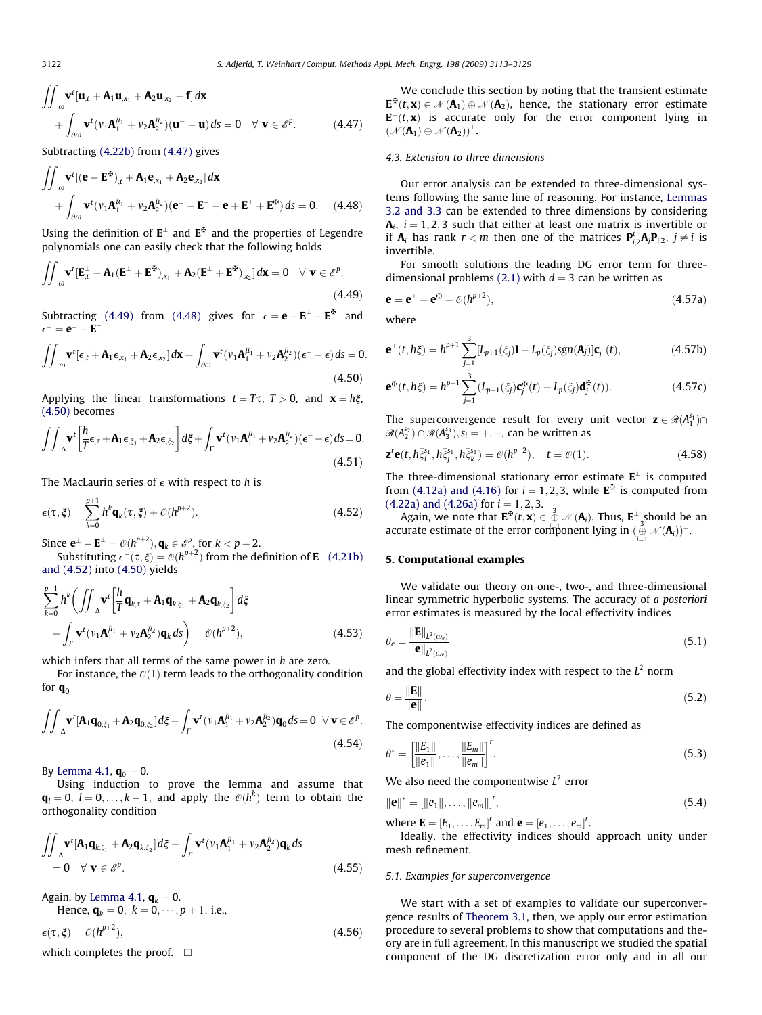r r

<span id="page-9-0"></span>
$$
\iint_{\omega} \mathbf{v}^{t} [\mathbf{u}_{,t} + \mathbf{A}_{1} \mathbf{u}_{,x_{1}} + \mathbf{A}_{2} \mathbf{u}_{,x_{2}} - \mathbf{f}] d\mathbf{x} \n+ \int_{\partial \omega} \mathbf{v}^{t} (\nu_{1} \mathbf{A}_{1}^{\bar{\mu}_{1}} + \nu_{2} \mathbf{A}_{2}^{\bar{\mu}_{2}}) (\mathbf{u}^{-} - \mathbf{u}) ds = 0 \quad \forall \ \mathbf{v} \in \mathscr{E}^{p}.
$$
\n(4.47)

Subtracting [\(4.22b\)](#page-7-0) from (4.47) gives

$$
\iint_{\omega} \mathbf{v}^{t} [(\mathbf{e} - \mathbf{E}^{\mathbf{x}})]_{,t} + \mathbf{A}_{1} \mathbf{e}_{,x_{1}} + \mathbf{A}_{2} \mathbf{e}_{,x_{2}}] d\mathbf{x} + \int_{\partial\omega} \mathbf{v}^{t} (\nu_{1} \mathbf{A}_{1}^{\bar{\mu}_{1}} + \nu_{2} \mathbf{A}_{2}^{\bar{\mu}_{2}}) (\mathbf{e}^{-} - \mathbf{E}^{-} - \mathbf{e} + \mathbf{E}^{\perp} + \mathbf{E}^{\mathbf{x}}) ds = 0.
$$
 (4.48)

Using the definition of  $E^{\perp}$  and  $E^{\ddagger}$  and the properties of Legendre polynomials one can easily check that the following holds

$$
\iint_{\omega} \mathbf{v}^{t} \left[\mathbf{E}_{t}^{\perp} + \mathbf{A}_{1} (\mathbf{E}^{\perp} + \mathbf{E}^{\mathbf{x}})_{x_{1}} + \mathbf{A}_{2} (\mathbf{E}^{\perp} + \mathbf{E}^{\mathbf{x}})_{x_{2}} \right] d\mathbf{x} = 0 \quad \forall \ \mathbf{v} \in \mathscr{E}^{p}.
$$
\n(4.49)

Subtracting (4.49) from (4.48) gives for  $\epsilon = \mathbf{e} - \mathbf{E}^{\perp} - \mathbf{E}^{\mathfrak{F}}$  and  $\epsilon^- = \mathbf{e}^- - \mathbf{E}^-$ 

$$
\iint_{\omega} \mathbf{v}^{t} [\boldsymbol{\epsilon}_{.t} + \mathbf{A}_{1} \boldsymbol{\epsilon}_{.x_{1}} + \mathbf{A}_{2} \boldsymbol{\epsilon}_{.x_{2}}] d\mathbf{x} + \int_{\partial \omega} \mathbf{v}^{t} (\nu_{1} \mathbf{A}_{1}^{\bar{\mu}_{1}} + \nu_{2} \mathbf{A}_{2}^{\bar{\mu}_{2}}) (\boldsymbol{\epsilon}^{-} - \boldsymbol{\epsilon}) ds = 0.
$$
\n(4.50)

Applying the linear transformations  $t = T\tau$ ,  $T > 0$ , and  $\mathbf{x} = h\xi$ , (4.50) becomes

$$
\iint_{\Delta} \mathbf{v}^{t} \left[ \frac{\hbar}{T} \boldsymbol{\epsilon}_{,\tau} + \mathbf{A}_{1} \boldsymbol{\epsilon}_{,\xi_{1}} + \mathbf{A}_{2} \boldsymbol{\epsilon}_{,\xi_{2}} \right] d\xi + \int_{\Gamma} \mathbf{v}^{t} (\nu_{1} \mathbf{A}_{1}^{\bar{\mu}_{1}} + \nu_{2} \mathbf{A}_{2}^{\bar{\mu}_{2}}) (\boldsymbol{\epsilon}^{-} - \boldsymbol{\epsilon}) d\boldsymbol{s} = 0.
$$
\n(4.51)

The MacLaurin series of  $\epsilon$  with respect to  $h$  is

$$
\epsilon(\tau,\xi) = \sum_{k=0}^{p+1} h^k \mathbf{q}_k(\tau,\xi) + \mathcal{O}(h^{p+2}).
$$
\n(4.52)

Since  $\mathbf{e}^{\perp} - \mathbf{E}^{\perp} = \mathcal{O}(h^{p+2}), \mathbf{q}_k \in \mathscr{E}^p$ , for  $k < p+2$ .

Substituting  $\epsilon^-(\tau,\xi) = \mathcal{O}(h^{p+2})$  from the definition of  $\mathbf{E}^-$  [\(4.21b\)](#page-7-0) [and \(4.52\)](#page-7-0) into (4.50) yields

$$
\sum_{k=0}^{p+1} h^k \left( \iint_{\Delta} \mathbf{v}^t \left[ \frac{h}{T} \mathbf{q}_{k,\tau} + \mathbf{A}_1 \mathbf{q}_{k,\xi_1} + \mathbf{A}_2 \mathbf{q}_{k,\xi_2} \right] d\xi - \int_{\Gamma} \mathbf{v}^t (v_1 \mathbf{A}_1^{\bar{\mu}_1} + v_2 \mathbf{A}_2^{\bar{\mu}_2}) \mathbf{q}_k ds \right) = \mathcal{O}(h^{p+2}),
$$
(4.53)

which infers that all terms of the same power in h are zero.

For instance, the  $\mathcal{O}(1)$  term leads to the orthogonality condition for  $q_0$ 

$$
\iint_{\Delta} \mathbf{v}^{t} [\mathbf{A}_{1} \mathbf{q}_{0,\xi_{1}} + \mathbf{A}_{2} \mathbf{q}_{0,\xi_{2}}] d\xi - \int_{\Gamma} \mathbf{v}^{t} (\nu_{1} \mathbf{A}_{1}^{\bar{\mu}_{1}} + \nu_{2} \mathbf{A}_{2}^{\bar{\mu}_{2}}) \mathbf{q}_{0} d s = 0 \quad \forall \mathbf{v} \in \mathscr{E}^{p}.
$$
\n(4.54)

By [Lemma 4.1](#page-8-0),  $q_0 = 0$ .

Using induction to prove the lemma and assume that  ${\bf q}_l = 0, \ l = 0, \ldots, k-1,$  and apply the  $\mathcal{O}(h^k)$  term to obtain the orthogonality condition

$$
\iint_{\Delta} \mathbf{v}^{t} [\mathbf{A}_{1} \mathbf{q}_{k,\xi_{1}} + \mathbf{A}_{2} \mathbf{q}_{k,\xi_{2}}] d\xi - \int_{\Gamma} \mathbf{v}^{t} (\nu_{1} \mathbf{A}_{1}^{\bar{\mu}_{1}} + \nu_{2} \mathbf{A}_{2}^{\bar{\mu}_{2}}) \mathbf{q}_{k} ds
$$
\n
$$
= 0 \quad \forall \ \mathbf{v} \in \mathscr{E}^{p}.
$$
\n(4.55)

Again, by [Lemma 4.1,](#page-8-0)  $\mathbf{q}_k = 0$ .

Hence,  ${\bf q}_k = 0, \ k = 0, \cdots, p + 1, \ i.e.,$  $\epsilon(\tau,\xi) = \mathcal{O}(h^{p+2})$  $(4.56)$ 

which completes the proof.  $\Box$ 

We conclude this section by noting that the transient estimate  $\mathbf{E}^{\mathbf{\tilde{x}}} (t, \mathbf{x}) \in \mathcal{N}(\mathbf{A}_1) \oplus \mathcal{N}(\mathbf{A}_2)$ , hence, the stationary error estimate  $\mathbf{E}^{\perp}(t,\mathbf{x})$  is accurate only for the error component lying in  $(\mathcal{N}(\mathbf{A}_1) \oplus \mathcal{N}(\mathbf{A}_2))^{\perp}$ .

## 4.3. Extension to three dimensions

Our error analysis can be extended to three-dimensional systems following the same line of reasoning. For instance, [Lemmas](#page-3-0) [3.2 and 3.3](#page-3-0) can be extended to three dimensions by considering  $A_i$ ,  $i = 1, 2, 3$  such that either at least one matrix is invertible or if  $A_i$  has rank  $r < m$  then one of the matrices  $P_{i,2}^t A_j P_{i,2}, j \neq i$  is invertible.

For smooth solutions the leading DG error term for three-dimensional problems [\(2.1\)](#page-1-0) with  $d = 3$  can be written as

$$
\mathbf{e} = \mathbf{e}^{\perp} + \mathbf{e}^{\mathbf{x}} + \mathcal{O}(h^{p+2}),\tag{4.57a}
$$

where

$$
\mathbf{e}^{\perp}(t,h\xi) = h^{p+1} \sum_{j=1}^{3} [L_{p+1}(\xi_j)\mathbf{I} - L_p(\xi_j)sgn(\mathbf{A}_j)]\mathbf{c}_j^{\perp}(t),
$$
(4.57b)

$$
\mathbf{e}^{\mathfrak{X}}(t,h\xi) = h^{p+1} \sum_{j=1}^{3} (L_{p+1}(\xi_j) \mathbf{c}^{\mathfrak{X}}_j(t) - L_p(\xi_j) \mathbf{d}^{\mathfrak{X}}_j(t)). \tag{4.57c}
$$

The superconvergence result for every unit vector  $\mathbf{z} \in \mathcal{R}(A_1^{s_1}) \cap$  $\mathscr{R}(A_2^{s_2}) \cap \mathscr{R}(A_3^{s_3}), s_i = +, -$ , can be written as

$$
\mathbf{z}^{t}\mathbf{e}(t,h_{\xi_{i}}^{\xi_{s_{1}}},h_{\xi_{j}}^{\xi_{s_{1}}},h_{\xi_{k}}^{\xi_{s_{3}}}) = \mathcal{O}(h^{p+2}), \quad t = \mathcal{O}(1). \tag{4.58}
$$

The three-dimensional stationary error estimate  $E^{\perp}$  is computed from [\(4.12a\) and \(4.16\)](#page-7-0) for  $i = 1, 2, 3$ , while  $\mathbf{E}^{\mathfrak{F}}$  is computed from [\(4.22a\) and \(4.26a\)](#page-7-0) for  $i = 1, 2, 3$ .

Again, we note that  $\mathbf{E}^{\mathcal{F}}(t,\mathbf{x}) \in \mathcal{F}^3$  (A<sub>i</sub>). Thus,  $\mathbf{E}^{\perp}$  should be an accurate estimate of the error component lying in  $\left(\bigoplus_{i=1}^3 \mathcal{N}(A_i)\right)^{\perp}$ .

#### 5. Computational examples

We validate our theory on one-, two-, and three-dimensional linear symmetric hyperbolic systems. The accuracy of a posteriori error estimates is measured by the local effectivity indices

$$
\theta_e = \frac{\|\mathbf{E}\|_{L^2(\omega_e)}}{\|\mathbf{e}\|_{L^2(\omega_e)}}\tag{5.1}
$$

and the global effectivity index with respect to the  $L^2$  norm

$$
\theta = \frac{\|\mathbf{E}\|}{\|\mathbf{e}\|}.\tag{5.2}
$$

The componentwise effectivity indices are defined as

$$
\theta^* = \left[ \frac{\|E_1\|}{\|e_1\|}, \dots, \frac{\|E_m\|}{\|e_m\|} \right]^t.
$$
\n(5.3)

We also need the componentwise  $L^2$  error

$$
\|\mathbf{e}\|^* = [\|e_1\|, \dots, \|e_m\|]^{t},\tag{5.4}
$$

where  **and**  $**e** = [e_1, ..., e_m]^t$ **.** Ideally, the effectivity indices should approach unity under mesh refinement.

### 5.1. Examples for superconvergence

We start with a set of examples to validate our superconvergence results of [Theorem 3.1,](#page-4-0) then, we apply our error estimation procedure to several problems to show that computations and theory are in full agreement. In this manuscript we studied the spatial component of the DG discretization error only and in all our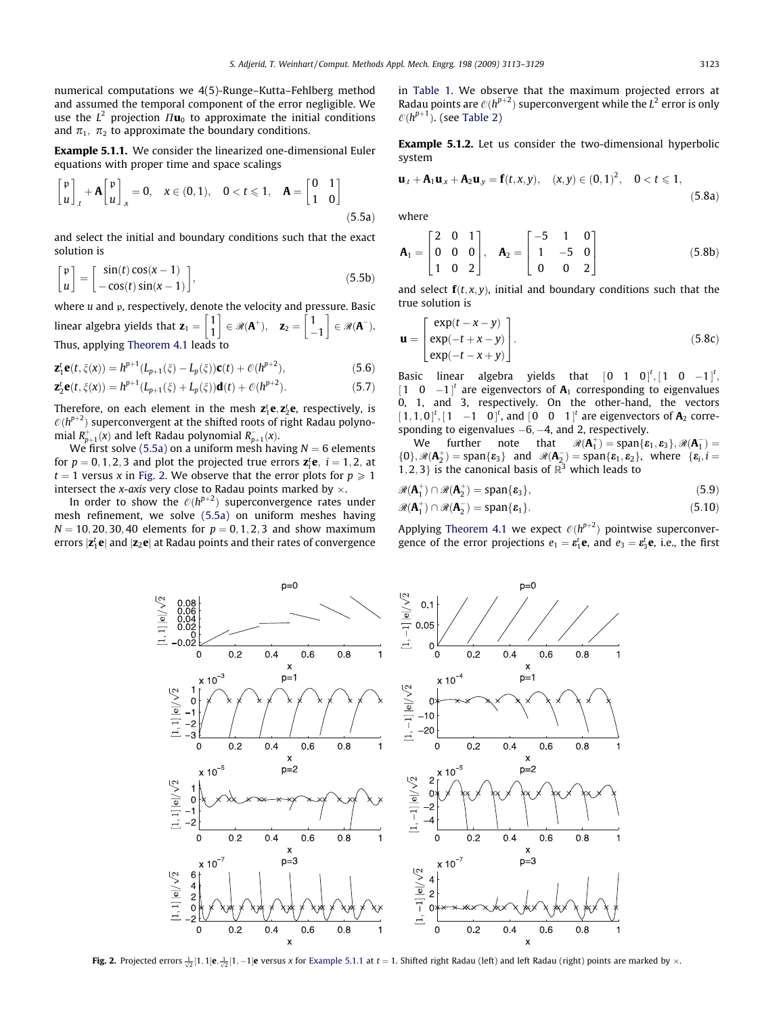<span id="page-10-0"></span>numerical computations we 4(5)-Runge–Kutta–Fehlberg method and assumed the temporal component of the error negligible. We use the  $L^2$  projection  $\Pi$ **u**<sub>0</sub> to approximate the initial conditions and  $\pi_1$ ,  $\pi_2$  to approximate the boundary conditions.

Example 5.1.1. We consider the linearized one-dimensional Euler equations with proper time and space scalings

$$
\begin{bmatrix} \mathfrak{p} \\ u \end{bmatrix}_{t} + \mathbf{A} \begin{bmatrix} \mathfrak{p} \\ u \end{bmatrix}_{x} = 0, \quad x \in (0, 1), \quad 0 < t \leq 1, \quad \mathbf{A} = \begin{bmatrix} 0 & 1 \\ 1 & 0 \end{bmatrix} \tag{5.5a}
$$

and select the initial and boundary conditions such that the exact solution is

$$
\begin{bmatrix} \mathfrak{p} \\ u \end{bmatrix} = \begin{bmatrix} \sin(t)\cos(x-1) \\ -\cos(t)\sin(x-1) \end{bmatrix},
$$
\n(5.5b)

where  $u$  and  $p$ , respectively, denote the velocity and pressure. Basic linear algebra yields that  $\mathbf{z}_1 = \begin{bmatrix} 1 \ 1 \end{bmatrix}$  $\begin{bmatrix} 1 \\ 1 \end{bmatrix} \in \mathcal{R}(\mathbf{A}^+), \quad \mathbf{z}_2 = \begin{bmatrix} 1 \\ -1 \end{bmatrix}$  $\begin{bmatrix} 1 \\ 1 \end{bmatrix} \in \mathcal{R}(\mathbf{A}^{-}).$ Thus, applying [Theorem 4.1](#page-6-0) leads to

$$
\mathbf{z}_{1}^{t}\mathbf{e}(t,\xi(x)) = h^{p+1}(L_{p+1}(\xi) - L_{p}(\xi))\mathbf{c}(t) + \mathcal{O}(h^{p+2}),
$$
\n(5.6)

$$
\mathbf{z}_{2}^{t}\mathbf{e}(t,\xi(x)) = h^{p+1}(L_{p+1}(\xi) + L_{p}(\xi))\mathbf{d}(t) + \mathcal{O}(h^{p+2}).
$$
\n(5.7)

Therefore, on each element in the mesh  $z_1^{\epsilon}$ e,  $z_2^{\epsilon}$ e, respectively, is  $\mathcal{O}(\boldsymbol{h}^{p+2})$  superconvergent at the shifted roots of right Radau polynomial  $R_{p+1}^+(x)$  and left Radau polynomial  $R_{p+1}^-(x)$ .

We first solve (5.5a) on a uniform mesh having  $N = 6$  elements for  $p = 0, 1, 2, 3$  and plot the projected true errors  $z_i^t e$ ,  $i = 1, 2$ , at  $t = 1$  versus x in Fig. 2. We observe that the error plots for  $p \ge 1$ intersect the *x*-axis very close to Radau points marked by  $\times$ .

In order to show the  $\mathcal{O}(h^{p+2})$  superconvergence rates under mesh refinement, we solve (5.5a) on uniform meshes having  $N = 10, 20, 30, 40$  elements for  $p = 0, 1, 2, 3$  and show maximum errors  $|\mathbf{z}_1^t\mathbf{e}|$  and  $|\mathbf{z}_2\mathbf{e}|$  at Radau points and their rates of convergence

in [Table 1.](#page-11-0) We observe that the maximum projected errors at Radau points are  $\mathcal{O}(h^{p+2})$  superconvergent while the  $L^2$  error is only  $\mathcal{O}(h^{p+1})$ . (see [Table 2](#page-11-0))

Example 5.1.2. Let us consider the two-dimensional hyperbolic system

$$
\mathbf{u}_{,t} + \mathbf{A}_1 \mathbf{u}_{,x} + \mathbf{A}_2 \mathbf{u}_{,y} = \mathbf{f}(t, x, y), \quad (x, y) \in (0, 1)^2, \quad 0 < t \leq 1,\tag{5.8a}
$$

where

$$
\mathbf{A}_1 = \begin{bmatrix} 2 & 0 & 1 \\ 0 & 0 & 0 \\ 1 & 0 & 2 \end{bmatrix}, \quad \mathbf{A}_2 = \begin{bmatrix} -5 & 1 & 0 \\ 1 & -5 & 0 \\ 0 & 0 & 2 \end{bmatrix}
$$
(5.8b)

and select  $f(t, x, y)$ , initial and boundary conditions such that the true solution is

$$
\mathbf{u} = \begin{bmatrix} \exp(t - x - y) \\ \exp(-t + x - y) \\ \exp(-t - x + y) \end{bmatrix}.
$$
 (5.8c)

Basic linear algebra yields that  $[0 \ 1 \ 0]^t$ ,  $[1 \ 0 \ -1]^t$ ,  $\begin{bmatrix} 1 & 0 & -1 \end{bmatrix}^t$  are eigenvectors of  $A_1$  corresponding to eigenvalues 0, 1, and 3, respectively. On the other-hand, the vectors  $[1, 1, 0]^{t}$ ,  $[1 \ -1 \ 0]^{t}$ , and  $[0 \ 0 \ 1]^{t}$  are eigenvectors of  $A_2$  corresponding to eigenvalues  $-6$ ,  $-4$ , and 2, respectively.

We further note that  $\mathbf{I}_{1}^{+}$ ) = span $\{\mathbf{\epsilon}_{1},\mathbf{\epsilon}_{3}\},\mathscr{R}(\mathbf{A}_{1}^{-})$  =  $\{0\}, \mathscr{R}(\mathbf{A}_2^+) = \text{span}\{\epsilon_3\}$  and  $\mathscr{R}(\mathbf{A}_2^-) = \text{span}\{\epsilon_1, \epsilon_2\}$ , where  $\{\epsilon_i, i = 1, 2, \ldots, k\}$ 1, 2, 3} is the canonical basis of  $\mathbb{R}^3$  which leads to

$$
\mathscr{R}(\mathbf{A}_1^+) \cap \mathscr{R}(\mathbf{A}_2^+) = \text{span}\{\varepsilon_3\},\tag{5.9}
$$

$$
\mathscr{R}(\mathbf{A}_1^+) \cap \mathscr{R}(\mathbf{A}_2^-) = \text{span}\{\boldsymbol{\varepsilon}_1\}.
$$
\n(5.10)

Applying [Theorem 4.1](#page-6-0) we expect  $\mathcal{O}(h^{p+2})$  pointwise superconvergence of the error projections  $e_1 = \varepsilon_1^t \mathbf{e}$ , and  $e_3 = \varepsilon_3^t \mathbf{e}$ , i.e., the first



**Fig. 2.** Projected errors  $\frac{1}{\sqrt{2}}[1,1]$ **e**,  $\frac{1}{\sqrt{2}}[1,-1]$ **e** versus x for Example 5.1.1 at  $t=1$ . Shifted right Radau (left) and left Radau (right) points are marked by  $\times$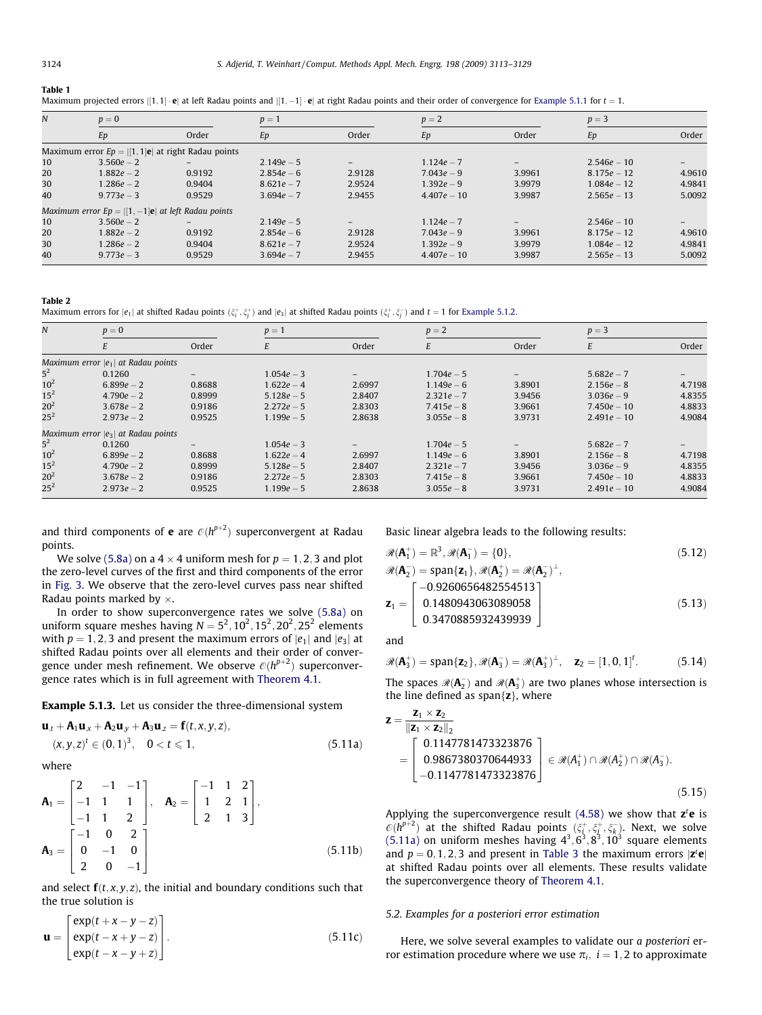#### <span id="page-11-0"></span>Table 1

| Maximum projected errors $[1,1] \cdot e$ at left Radau points and $[1,-1] \cdot e$ at right Radau points and their order of convergence for Example 5.1.1 for $t = 1$ . |  |  |  |  |  |
|-------------------------------------------------------------------------------------------------------------------------------------------------------------------------|--|--|--|--|--|
|                                                                                                                                                                         |  |  |  |  |  |

| N  | $p=0$                                                         |                   |              | $p=1$                    |               | $p=2$  |               | $p=3$  |  |
|----|---------------------------------------------------------------|-------------------|--------------|--------------------------|---------------|--------|---------------|--------|--|
|    | Ep                                                            | Order             | Ep           | Order                    | Ep            | Order  | Ep            | Order  |  |
|    | Maximum error $Ep =  [1,1]e $ at right Radau points           |                   |              |                          |               |        |               |        |  |
| 10 | $3.560e - 2$                                                  |                   | $2.149e - 5$ |                          | $1.124e - 7$  |        | $2.546e - 10$ |        |  |
| 20 | $1.882e - 2$                                                  | 0.9192            | $2.854e - 6$ | 2.9128                   | $7.043e - 9$  | 3.9961 | $8.175e - 12$ | 4.9610 |  |
| 30 | $1.286e - 2$                                                  | 0.9404            | $8.621e - 7$ | 2.9524                   | $1.392e - 9$  | 3.9979 | $1.084e - 12$ | 4.9841 |  |
| 40 | $9.773e - 3$                                                  | 0.9529            | $3.694e - 7$ | 2.9455                   | $4.407e - 10$ | 3.9987 | $2.565e - 13$ | 5.0092 |  |
|    | Maximum error $Ep =  [1, -1]\mathbf{e} $ at left Radau points |                   |              |                          |               |        |               |        |  |
| 10 | $3.560e - 2$                                                  | $\qquad \qquad -$ | $2.149e - 5$ | $\overline{\phantom{0}}$ | $1.124e - 7$  | -      | $2.546e - 10$ |        |  |
| 20 | $1.882e - 2$                                                  | 0.9192            | $2.854e - 6$ | 2.9128                   | $7.043e - 9$  | 3.9961 | $8.175e - 12$ | 4.9610 |  |
| 30 | $1.286e - 2$                                                  | 0.9404            | $8.621e - 7$ | 2.9524                   | $1.392e - 9$  | 3.9979 | $1.084e - 12$ | 4.9841 |  |
| 40 | $9.773e - 3$                                                  | 0.9529            | $3.694e - 7$ | 2.9455                   | $4.407e - 10$ | 3.9987 | $2.565e - 13$ | 5.0092 |  |

Table 2

Maximum errors for  $|e_1|$  at shifted Radau points  $(\xi^*_i,\xi^*_j)$  and  $|e_3|$  at shifted Radau points  $(\xi^*_i,\xi^-_j)$  and  $t=1$  for [Example 5.1.2.](#page-10-0)

| N               | $p=0$                                 |        | $p=1$        |                          | $p=2$        |        | $p=3$         |        |
|-----------------|---------------------------------------|--------|--------------|--------------------------|--------------|--------|---------------|--------|
|                 | E                                     | Order  | E            | Order                    | E            | Order  | E             | Order  |
|                 | Maximum error $ e_1 $ at Radau points |        |              |                          |              |        |               |        |
| $5^2$           | 0.1260                                | $-$    | $1.054e - 3$ | $\qquad \qquad -$        | $1.704e - 5$ | $-$    | $5.682e - 7$  |        |
| $10^{2}$        | $6.899e - 2$                          | 0.8688 | $1.622e - 4$ | 2.6997                   | $1.149e - 6$ | 3.8901 | $2.156e - 8$  | 4.7198 |
| $15^{2}$        | $4.790e - 2$                          | 0.8999 | $5.128e - 5$ | 2.8407                   | $2.321e - 7$ | 3.9456 | $3.036e - 9$  | 4.8355 |
| $20^{2}$        | $3.678e - 2$                          | 0.9186 | $2.272e - 5$ | 2.8303                   | $7.415e - 8$ | 3.9661 | $7.450e - 10$ | 4.8833 |
| $25^{2}$        | $2.973e - 2$                          | 0.9525 | $1.199e - 5$ | 2.8638                   | $3.055e - 8$ | 3.9731 | $2.491e - 10$ | 4.9084 |
|                 | Maximum error $ e_3 $ at Radau points |        |              |                          |              |        |               |        |
| $5^2$           | 0.1260                                | $-$    | $1.054e - 3$ | $\overline{\phantom{0}}$ | $1.704e - 5$ |        | $5.682e - 7$  |        |
| $10^{2}$        | $6.899e - 2$                          | 0.8688 | $1.622e - 4$ | 2.6997                   | $1.149e - 6$ | 3.8901 | $2.156e - 8$  | 4.7198 |
| $15^{2}$        | $4.790e - 2$                          | 0.8999 | $5.128e - 5$ | 2.8407                   | $2.321e - 7$ | 3.9456 | $3.036e - 9$  | 4.8355 |
| 20 <sup>2</sup> | $3.678e - 2$                          | 0.9186 | $2.272e - 5$ | 2.8303                   | $7.415e - 8$ | 3.9661 | $7.450e - 10$ | 4.8833 |
| $25^2$          | $2.973e - 2$                          | 0.9525 | $1.199e - 5$ | 2.8638                   | $3.055e - 8$ | 3.9731 | $2.491e - 10$ | 4.9084 |

and third components of **e** are  $\mathcal{O}(h^{p+2})$  superconvergent at Radau points.

We solve [\(5.8a\)](#page-10-0) on a  $4 \times 4$  uniform mesh for  $p = 1, 2, 3$  and plot the zero-level curves of the first and third components of the error in [Fig. 3.](#page-12-0) We observe that the zero-level curves pass near shifted Radau points marked by  $\times$ .

In order to show superconvergence rates we solve [\(5.8a\)](#page-10-0) on uniform square meshes having  $N = 5^2, 10^2, 15^2, 20^2, 25^2$  elements with  $p = 1, 2, 3$  and present the maximum errors of  $|e_1|$  and  $|e_3|$  at shifted Radau points over all elements and their order of convergence under mesh refinement. We observe  $\mathcal{O}(h^{p+2})$  superconvergence rates which is in full agreement with [Theorem 4.1](#page-6-0).

Example 5.1.3. Let us consider the three-dimensional system

$$
\mathbf{u}_{,t} + \mathbf{A}_1 \mathbf{u}_{,x} + \mathbf{A}_2 \mathbf{u}_{,y} + \mathbf{A}_3 \mathbf{u}_{,z} = \mathbf{f}(t, x, y, z),
$$
  

$$
(x, y, z)^t \in (0, 1)^3, \quad 0 < t \leq 1,
$$
 (5.11a)

where

$$
\mathbf{A}_1 = \begin{bmatrix} 2 & -1 & -1 \\ -1 & 1 & 1 \\ -1 & 1 & 2 \end{bmatrix}, \quad \mathbf{A}_2 = \begin{bmatrix} -1 & 1 & 2 \\ 1 & 2 & 1 \\ 2 & 1 & 3 \end{bmatrix},
$$

$$
\mathbf{A}_3 = \begin{bmatrix} -1 & 0 & 2 \\ 0 & -1 & 0 \\ 2 & 0 & -1 \end{bmatrix}
$$
(5.11b)

and select  $f(t, x, y, z)$ , the initial and boundary conditions such that the true solution is

$$
\mathbf{u} = \begin{bmatrix} \exp(t + x - y - z) \\ \exp(t - x + y - z) \\ \exp(t - x - y + z) \end{bmatrix}.
$$
 (5.11c)

Basic linear algebra leads to the following results:

$$
\mathcal{R}(\mathbf{A}_1^+) = \mathbb{R}^3, \mathcal{R}(\mathbf{A}_1^-) = \{0\},\tag{5.12}
$$

$$
\mathcal{R}(\mathbf{A}_2^-) = \text{span}\{\mathbf{z}_1\}, \mathcal{R}(\mathbf{A}_2^+) = \mathcal{R}(\mathbf{A}_2^-)^{\perp}, \n\mathbf{z}_1 = \begin{bmatrix} -0.9260656482554513 \\ 0.1480943063089058 \\ 0.3470885932439939 \end{bmatrix}
$$
\n(5.13)

and

$$
\mathscr{R}(\boldsymbol{A}_3^+) = \text{span}\{\boldsymbol{z}_2\}, \mathscr{R}(\boldsymbol{A}_3^-) = \mathscr{R}(\boldsymbol{A}_3^+)^{\perp}, \quad \boldsymbol{z}_2 = \left[1, 0, 1\right]^t. \tag{5.14}
$$

The spaces  $\mathscr{R}(\mathbf{A}_2^-)$  and  $\mathscr{R}(\mathbf{A}_3^+)$  are two planes whose intersection is the line defined as span $\{z\}$ , where

$$
\mathbf{z} = \frac{\mathbf{z}_1 \times \mathbf{z}_2}{\|\mathbf{z}_1 \times \mathbf{z}_2\|_2}
$$
  
= 
$$
\begin{bmatrix} 0.1147781473323876 \\ 0.9867380370644933 \\ -0.1147781473323876 \end{bmatrix} \in \mathcal{R}(A_1^+) \cap \mathcal{R}(A_2^+) \cap \mathcal{R}(A_3^-).
$$
 (5.15)

Applying the superconvergence result  $(4.58)$  we show that  $z<sup>t</sup>e$  is  $\mathcal{O}(h^{p+2})$  at the shifted Radau points  $(\xi_i^+, \xi_j^+, \xi_k^-)$ . Next, we solve  $(5.11a)$  on uniform meshes having  $4^3, 6^3, 8^3, 10^3$  square elements and  $p = 0, 1, 2, 3$  and present in [Table 3](#page-12-0) the maximum errors  $|z^t e|$ at shifted Radau points over all elements. These results validate the superconvergence theory of [Theorem 4.1](#page-6-0).

### 5.2. Examples for a posteriori error estimation

Here, we solve several examples to validate our a posteriori error estimation procedure where we use  $\pi_i$ ,  $i = 1, 2$  to approximate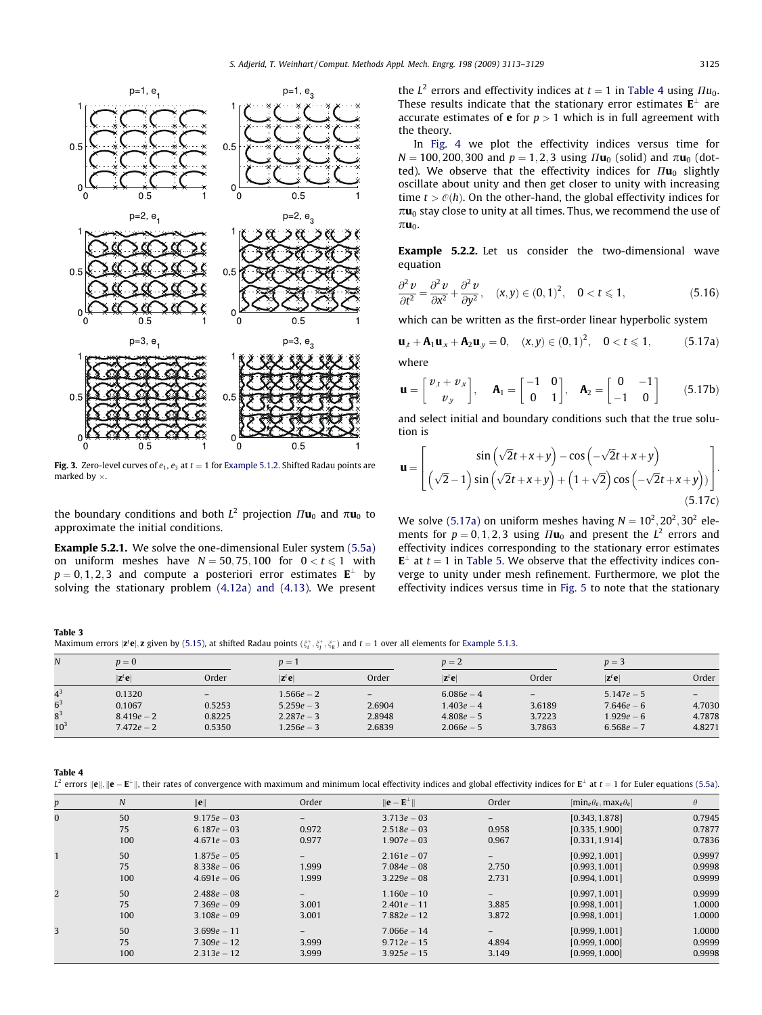<span id="page-12-0"></span>

Fig. 3. Zero-level curves of  $e_1$ ,  $e_3$  at  $t = 1$  for [Example 5.1.2.](#page-10-0) Shifted Radau points are marked by  $\times$ .

the boundary conditions and both  $L^2$  projection  $\Pi$ **u**<sub>0</sub> and  $\pi$ **u**<sub>0</sub> to approximate the initial conditions.

Example 5.2.1. We solve the one-dimensional Euler system [\(5.5a\)](#page-10-0) on uniform meshes have  $N = 50, 75, 100$  for  $0 < t \le 1$  with  $p = 0, 1, 2, 3$  and compute a posteriori error estimates  $E^{\perp}$  by solving the stationary problem [\(4.12a\) and \(4.13\).](#page-7-0) We present the  $L^2$  errors and effectivity indices at  $t = 1$  in Table 4 using  $\pi u_0$ . These results indicate that the stationary error estimates  $E^{\perp}$  are accurate estimates of **e** for  $p > 1$  which is in full agreement with the theory.

In [Fig. 4](#page-13-0) we plot the effectivity indices versus time for  $N = 100, 200, 300$  and  $p = 1, 2, 3$  using  $\pi u_0$  (solid) and  $\pi u_0$  (dotted). We observe that the effectivity indices for  $\pi u_0$  slightly oscillate about unity and then get closer to unity with increasing time  $t > \mathcal{O}(h)$ . On the other-hand, the global effectivity indices for  $\pi u_0$  stay close to unity at all times. Thus, we recommend the use of  $\pi u_0$ .

Example 5.2.2. Let us consider the two-dimensional wave equation

$$
\frac{\partial^2 v}{\partial t^2} = \frac{\partial^2 v}{\partial x^2} + \frac{\partial^2 v}{\partial y^2}, \quad (x, y) \in (0, 1)^2, \quad 0 < t \leq 1,\tag{5.16}
$$

which can be written as the first-order linear hyperbolic system

$$
\mathbf{u}_{,t} + \mathbf{A}_1 \mathbf{u}_{,x} + \mathbf{A}_2 \mathbf{u}_{,y} = 0, \quad (x, y) \in (0, 1)^2, \quad 0 < t \leq 1, \tag{5.17a}
$$

where

$$
\mathbf{u} = \begin{bmatrix} v_{.t} + v_{.x} \\ v_{.y} \end{bmatrix}, \quad \mathbf{A}_1 = \begin{bmatrix} -1 & 0 \\ 0 & 1 \end{bmatrix}, \quad \mathbf{A}_2 = \begin{bmatrix} 0 & -1 \\ -1 & 0 \end{bmatrix} \tag{5.17b}
$$

and select initial and boundary conditions such that the true solution is

$$
\mathbf{u} = \begin{bmatrix} \sin(\sqrt{2}t + x + y) - \cos(-\sqrt{2}t + x + y) \\ (\sqrt{2} - 1)\sin(\sqrt{2}t + x + y) + (1 + \sqrt{2})\cos(-\sqrt{2}t + x + y)) \end{bmatrix}.
$$
\n(5.17c)

We solve (5.17a) on uniform meshes having  $N = 10^2, 20^2, 30^2$  elements for  $p = 0, 1, 2, 3$  using  $\pi u_0$  and present the  $L^2$  errors and effectivity indices corresponding to the stationary error estimates  $\mathbf{E}^{\perp}$  at  $t = 1$  in [Table 5.](#page-13-0) We observe that the effectivity indices converge to unity under mesh refinement. Furthermore, we plot the effectivity indices versus time in [Fig. 5](#page-14-0) to note that the stationary

### Table 3

Maximum errors |**z<sup>t</sup>e**|, **z** given by [\(5.15\),](#page-11-0) at shifted Radau points  $(\xi_i^+, \xi_j^+, \xi_k^-)$  and  $t=1$  over all elements for [Example 5.1.3](#page-11-0).

| N                                   | $p=0$                                            |                            | $p=1$                                                        |                                                        | $p=2$                                                        |                            | $p = 3$                                                      |                            |
|-------------------------------------|--------------------------------------------------|----------------------------|--------------------------------------------------------------|--------------------------------------------------------|--------------------------------------------------------------|----------------------------|--------------------------------------------------------------|----------------------------|
|                                     | $ z^t e $                                        | Order                      | $ z^t e $                                                    | Order                                                  | $ z^t e $                                                    | Order                      | $ z^t e $                                                    | Order                      |
| $4^3$<br>$6^3$<br>$8^3$<br>$10^{3}$ | 0.1320<br>0.1067<br>$8.419e - 2$<br>$7.472e - 2$ | 0.5253<br>0.8225<br>0.5350 | $1.566e - 2$<br>$5.259e - 3$<br>$2.287e - 3$<br>$1.256e - 3$ | $\overline{\phantom{0}}$<br>2.6904<br>2.8948<br>2.6839 | $6.086e - 4$<br>$1.403e - 4$<br>$4.808e - 5$<br>$2.066e - 5$ | 3.6189<br>3.7223<br>3.7863 | $5.147e - 5$<br>$7.646e - 6$<br>$1.929e - 6$<br>$6.568e - 7$ | 4.7030<br>4.7878<br>4.8271 |

Table 4

 $L^2$  errors  $\|\mathbf{e}\|$ ,  $\|\mathbf{e}-\mathbf{E}^{\perp}\|$ , their rates of convergence with maximum and minimum local effectivity indices and global effectivity indices for  $\mathbf{E}^{\perp}$  at  $t=1$  for Euler equations [\(5.5a\)](#page-10-0).

| p              | $\boldsymbol{N}$ | $\ e\ $                                         | Order                 | $\ \mathbf{e} - \mathbf{E}^{\perp}\ $           | Order                 | $[\min_{e} \theta_{e}, \max_{e} \theta_{e}]$       | $\theta$                   |
|----------------|------------------|-------------------------------------------------|-----------------------|-------------------------------------------------|-----------------------|----------------------------------------------------|----------------------------|
| $\Omega$       | 50<br>75<br>100  | $9.175e - 03$<br>$6.187e - 03$<br>$4.671e - 03$ | -<br>0.972<br>0.977   | $3.713e - 03$<br>$2.518e - 03$<br>$1.907e - 03$ | 0.958<br>0.967        | [0.343, 1.878]<br>[0.335, 1.900]<br>[0.331, 1.914] | 0.7945<br>0.7877<br>0.7836 |
|                | 50<br>75<br>100  | $1.875e - 05$<br>$8.338e - 06$<br>$4.691e - 06$ | 1.999<br>1.999        | $2.161e - 07$<br>$7.084e - 08$<br>$3.229e - 08$ | 2.750<br>2.731        | [0.992, 1.001]<br>[0.993, 1.001]<br>[0.994, 1.001] | 0.9997<br>0.9998<br>0.9999 |
| $\overline{2}$ | 50<br>75<br>100  | $2.488e - 08$<br>$7.369e - 09$<br>$3.108e - 09$ | $-$<br>3.001<br>3.001 | $1.160e - 10$<br>$2.401e - 11$<br>$7.882e - 12$ | $-$<br>3.885<br>3.872 | [0.997, 1.001]<br>[0.998, 1.001]<br>[0.998, 1.001] | 0.9999<br>1.0000<br>1.0000 |
| 3              | 50<br>75<br>100  | $3.699e - 11$<br>$7.309e - 12$<br>$2.313e - 12$ | 3.999<br>3.999        | $7.066e - 14$<br>$9.712e - 15$<br>$3.925e - 15$ | 4.894<br>3.149        | [0.999, 1.001]<br>[0.999, 1.000]<br>[0.999, 1.000] | 1.0000<br>0.9999<br>0.9998 |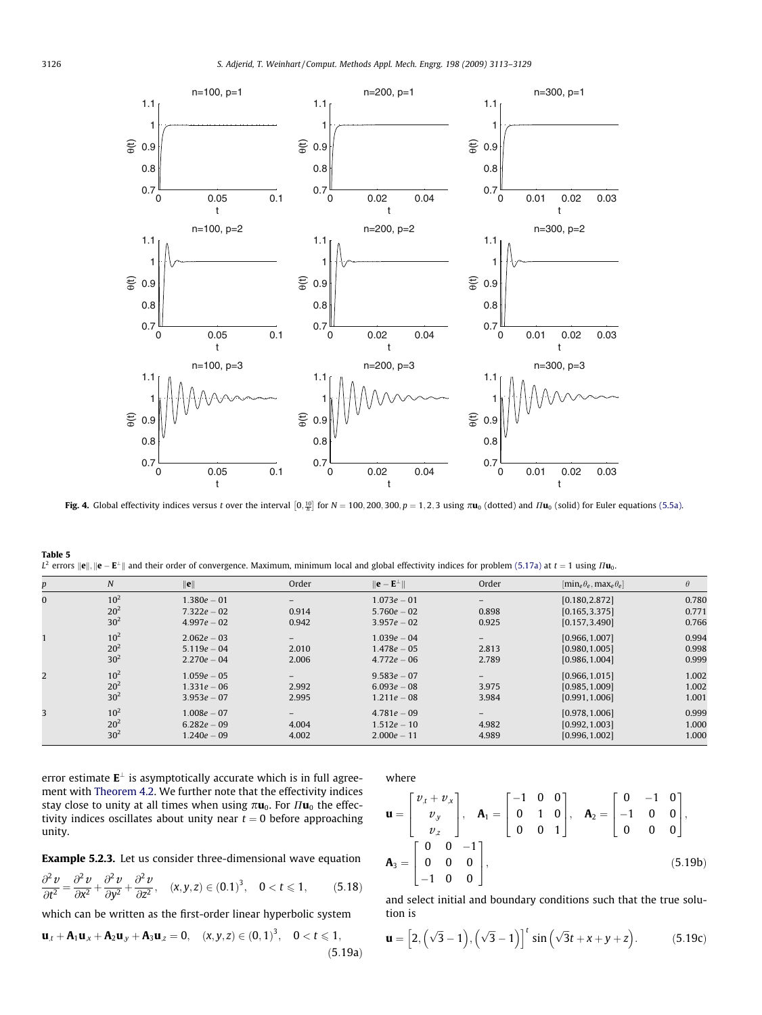<span id="page-13-0"></span>

**Fig. 4.** Global effectivity indices versus t over the interval  $[0, \frac{10}{h}]$  for  $N = 100, 200, 300, p = 1, 2, 3$  using  $\pi u_0$  (dotted) and  $\Pi u_0$  (solid) for Euler equations [\(5.5a\).](#page-10-0)

Table 5  $L^2$  errors  $\|\mathbf{e}\|$ ,  $\|\mathbf{e}-\mathbf{E}^{\perp}\|$  and their order of convergence. Maximum, minimum local and global effectivity indices for problem [\(5.17a\)](#page-12-0) at  $t=1$  using  $\varPi$ **u**<sub>0</sub>.

| p        | $\boldsymbol{N}$ | $\ e\ $       | Order | $\ \mathbf{e} - \mathbf{E}^{\perp}\ $ | Order | $[\min_{e} \theta_{e}, \max_{e} \theta_{e}]$ | $\theta$ |
|----------|------------------|---------------|-------|---------------------------------------|-------|----------------------------------------------|----------|
| $\bf{0}$ | $10^{2}$         | $1.380e - 01$ | -     | $1.073e - 01$                         | -     | [0.180, 2.872]                               | 0.780    |
|          | 20 <sup>2</sup>  | $7.322e - 02$ | 0.914 | $5.760e - 02$                         | 0.898 | [0.165, 3.375]                               | 0.771    |
|          | 30 <sup>2</sup>  | $4.997e - 02$ | 0.942 | $3.957e - 02$                         | 0.925 | [0.157, 3.490]                               | 0.766    |
|          | $10^{2}$         | $2.062e - 03$ | $-$   | $1.039e - 04$                         | $-$   | [0.966, 1.007]                               | 0.994    |
|          | 20 <sup>2</sup>  | $5.119e - 04$ | 2.010 | $1.478e - 05$                         | 2.813 | [0.980, 1.005]                               | 0.998    |
|          | $30^{2}$         | $2.270e - 04$ | 2.006 | $4.772e - 06$                         | 2.789 | [0.986, 1.004]                               | 0.999    |
| 2        | $10^{2}$         | $1.059e - 05$ |       | $9.583e - 07$                         |       | [0.966, 1.015]                               | 1.002    |
|          | 20 <sup>2</sup>  | $1.331e - 06$ | 2.992 | $6.093e - 08$                         | 3.975 | [0.985, 1.009]                               | 1.002    |
|          | 30 <sup>2</sup>  | $3.953e - 07$ | 2.995 | $1.211e - 08$                         | 3.984 | [0.991, 1.006]                               | 1.001    |
| 3        | $10^{2}$         | $1.008e - 07$ | -     | $4.781e - 09$                         | $-$   | [0.978, 1.006]                               | 0.999    |
|          | 20 <sup>2</sup>  | $6.282e - 09$ | 4.004 | $1.512e - 10$                         | 4.982 | [0.992, 1.003]                               | 1.000    |
|          | $30^{2}$         | $1.240e - 09$ | 4.002 | $2.000e - 11$                         | 4.989 | [0.996, 1.002]                               | 1.000    |

error estimate  $E^{\perp}$  is asymptotically accurate which is in full agreement with [Theorem 4.2](#page-8-0). We further note that the effectivity indices stay close to unity at all times when using  $\pi u_0$ . For  $\Pi u_0$  the effectivity indices oscillates about unity near  $t = 0$  before approaching unity.

Example 5.2.3. Let us consider three-dimensional wave equation

$$
\frac{\partial^2 v}{\partial t^2} = \frac{\partial^2 v}{\partial x^2} + \frac{\partial^2 v}{\partial y^2} + \frac{\partial^2 v}{\partial z^2}, \quad (x, y, z) \in (0.1)^3, \quad 0 < t \leq 1,\tag{5.18}
$$

which can be written as the first-order linear hyperbolic system

 $\mathbf{u}_{,t} + \mathbf{A}_1 \mathbf{u}_{,x} + \mathbf{A}_2 \mathbf{u}_{,y} + \mathbf{A}_3 \mathbf{u}_{,z} = 0$ ,  $(x, y, z) \in (0, 1)^3$ ,  $0 < t \leq 1$ ,  $(5.19a)$  where

$$
\mathbf{u} = \begin{bmatrix} v_{,t} + v_{,x} \\ v_{,y} \\ v_{,z} \end{bmatrix}, \quad \mathbf{A}_1 = \begin{bmatrix} -1 & 0 & 0 \\ 0 & 1 & 0 \\ 0 & 0 & 1 \end{bmatrix}, \quad \mathbf{A}_2 = \begin{bmatrix} 0 & -1 & 0 \\ -1 & 0 & 0 \\ 0 & 0 & 0 \end{bmatrix},
$$

$$
\mathbf{A}_3 = \begin{bmatrix} 0 & 0 & -1 \\ 0 & 0 & 0 \\ -1 & 0 & 0 \end{bmatrix}, \quad (5.19b)
$$

and select initial and boundary conditions such that the true solution is

$$
\mathbf{u} = \left[2, \left(\sqrt{3} - 1\right), \left(\sqrt{3} - 1\right)\right]^t \sin\left(\sqrt{3}t + x + y + z\right). \tag{5.19c}
$$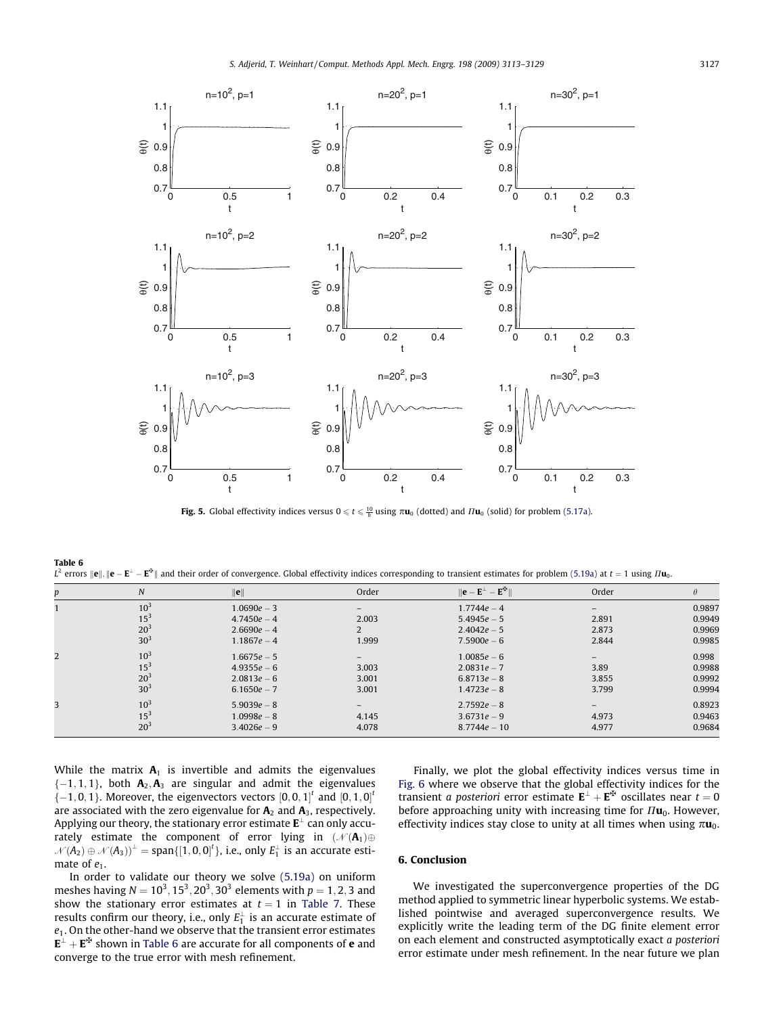<span id="page-14-0"></span>

**Fig. 5.** Global effectivity indices versus  $0 \leqslant t \leqslant \frac{10}{h}$  using  $\pi u_0$  (dotted) and  $\Pi u_0$  (solid) for problem [\(5.17a\).](#page-12-0)

Table 6  $L^2$  errors  $\|\mathbf{e}\|$ ,  $\|\mathbf{e} - \mathbf{E}^{\perp} - \mathbf{E}^{\mathbf{x}}\|$  and their order of convergence. Global effectivity indices corresponding to transient estimates for problem [\(5.19a\)](#page-13-0) at  $t = 1$  using  $\boldsymbol{H} \mathbf{u}_0$ .

| p | $\boldsymbol{N}$ | $\ e\ $       | Order                    | $\ \mathbf{e} - \mathbf{E}^{\perp} - \mathbf{E}^{\mathbf{F}}\ $ | Order             | $\theta$ |
|---|------------------|---------------|--------------------------|-----------------------------------------------------------------|-------------------|----------|
|   | $10^{3}$         | $1.0690e - 3$ | $\qquad \qquad -$        | $1.7744e - 4$                                                   | $\qquad \qquad -$ | 0.9897   |
|   | $15^{3}$         | $4.7450e - 4$ | 2.003                    | $5.4945e - 5$                                                   | 2.891             | 0.9949   |
|   | $20^{3}$         | $2.6690e - 4$ |                          | $2.4042e - 5$                                                   | 2.873             | 0.9969   |
|   | $30^{3}$         | $1.1867e - 4$ | 1.999                    | $7.5900e - 6$                                                   | 2.844             | 0.9985   |
|   | $10^{3}$         | $1.6675e - 5$ |                          | $1.0085e - 6$                                                   | $\qquad \qquad -$ | 0.998    |
|   | $15^{3}$         | $4.9355e - 6$ | 3.003                    | $2.0831e - 7$                                                   | 3.89              | 0.9988   |
|   | $20^{3}$         | $2.0813e - 6$ | 3.001                    | $6.8713e - 8$                                                   | 3.855             | 0.9992   |
|   | $30^{3}$         | $6.1650e - 7$ | 3.001                    | $1.4723e - 8$                                                   | 3.799             | 0.9994   |
|   | $10^{3}$         | $5.9039e - 8$ | $\overline{\phantom{0}}$ | $2.7592e - 8$                                                   | $-$               | 0.8923   |
|   | $15^{3}$         | $1.0998e - 8$ | 4.145                    | $3.6731e - 9$                                                   | 4.973             | 0.9463   |
|   | 20 <sup>3</sup>  | $3.4026e - 9$ | 4.078                    | $8.7744e - 10$                                                  | 4.977             | 0.9684   |

While the matrix  $A_1$  is invertible and admits the eigenvalues  $\{-1, 1, 1\}$ , both  $A_2, A_3$  are singular and admit the eigenvalues  $\{-1, 0, 1\}$ . Moreover, the eigenvectors vectors  $[0, 0, 1]^{t}$  and  $[0, 1, 0]^{t}$ are associated with the zero eigenvalue for  $A_2$  and  $A_3$ , respectively. Applying our theory, the stationary error estimate  $\mathbf{E}^{\perp}$  can only accurately estimate the component of error lying in  $(\mathcal{N}(\mathbf{A}_1) \oplus$  $\mathcal{N}(A_2)\oplus\mathcal{N}(A_3))^\perp=\text{span}\{[1,0,0]^t\},$  i.e., only  $E_1^\perp$  is an accurate estimate of  $e_1$ .

In order to validate our theory we solve [\(5.19a\)](#page-13-0) on uniform meshes having  $N = 10^3, 15^3, 20^3, 30^3$  elements with  $p = 1, 2, 3$  and show the stationary error estimates at  $t = 1$  in [Table 7.](#page-15-0) These results confirm our theory, i.e., only  $E_1^{\perp}$  is an accurate estimate of  $e_1$ . On the other-hand we observe that the transient error estimates  $E^{\perp} + E^{\pm}$  shown in Table 6 are accurate for all components of **e** and converge to the true error with mesh refinement.

Finally, we plot the global effectivity indices versus time in [Fig. 6](#page-15-0) where we observe that the global effectivity indices for the transient *a posteriori* error estimate  $\mathbf{E}^{\perp} + \mathbf{E}^{\mathbf{\ddot{r}}}$  oscillates near  $t = 0$ before approaching unity with increasing time for  $\Pi$ **u**<sub>0</sub>. However, effectivity indices stay close to unity at all times when using  $\pi u_0$ .

## 6. Conclusion

We investigated the superconvergence properties of the DG method applied to symmetric linear hyperbolic systems. We established pointwise and averaged superconvergence results. We explicitly write the leading term of the DG finite element error on each element and constructed asymptotically exact a posteriori error estimate under mesh refinement. In the near future we plan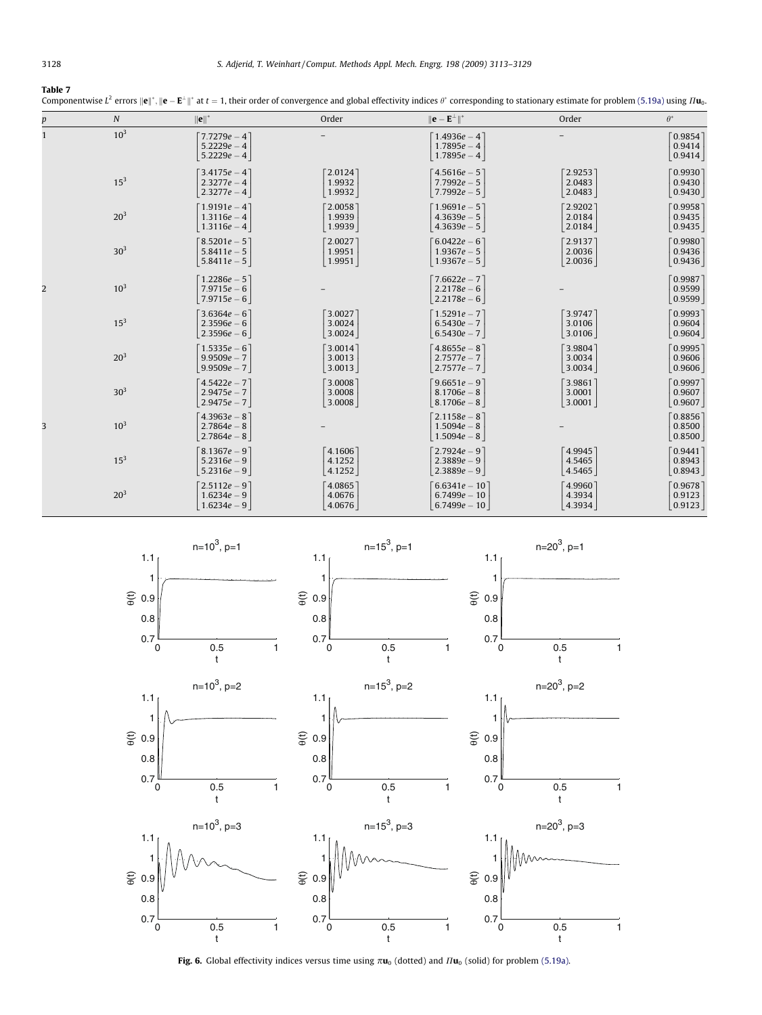## <span id="page-15-0"></span>Table 7

Componentwise L $^2$  errors  $\|$ **e**  $\| ^*$ ,  $\|$ **e** – E $^{\bot}$   $\| ^*$  at  $t=1,$  their order of convergence and global effectivity indices  $\theta ^*$  corresponding to stationary estimate for problem [\(5.19a\)](#page-13-0) using  $I$ Uo.

| p              | $\cal N$        | $\ e\ ^*$                                        | Order                                     | $\ \mathbf{e} - \mathbf{E}^{\perp}\ ^*$            | Order                        | $\theta^*$                                |
|----------------|-----------------|--------------------------------------------------|-------------------------------------------|----------------------------------------------------|------------------------------|-------------------------------------------|
|                | 10 <sup>3</sup> | $7.7279e - 4$<br>$5.2229e - 4$<br>$5.2229e - 4$  |                                           | $1.4936e - 4$<br>$1.7895e - 4$<br>$1.7895e - 4$    |                              | 0.9854<br>0.9414<br> 0.9414               |
|                | $15^{3}$        | $3.4175e - 4$<br>$2.3277e - 4$<br>$2.3277e - 4$  | $2.0124$ <sup>-</sup><br>1.9932<br>1.9932 | $-4.5616e - 5$<br>$7.7992e - 5$<br>$7.7992e - 5$   | 2.9253<br>2.0483<br>2.0483   | $\left[0.9930\right]$<br>0.9430<br>0.9430 |
|                | 20 <sup>3</sup> | $1.9191e - 4$<br>$1.3116e - 4$<br>$1.3116e - 4$  | 2.0058<br>1.9939<br>1.9939                | $1.9691e - 5$<br>$4.3639e - 5$<br>$4.3639e - 5$    | 2.9202<br>2.0184<br>2.0184   | 0.9958<br>0.9435<br>0.9435                |
|                | 30 <sup>3</sup> | $8.5201e - 5$<br>$5.8411e - 5$<br>$5.8411e - 5$  | 2.0027<br>1.9951<br>1.9951                | $6.0422e - 6$<br>$1.9367e - 5$<br>$1.9367e - 5$    | $2.9137$<br>2.0036<br>2.0036 | $\lceil 0.9980\rceil$<br>0.9436<br>0.9436 |
| $\overline{2}$ | $10^{3}$        | $1.2286e - 5$<br>$7.9715e - 6$<br>$7.9715e - 6$  |                                           | $7.6622e - 7$<br>$2.2178e - 6$<br>$2.2178e - 6$    |                              | 0.9987<br>0.9599<br>0.9599                |
|                | $15^3$          | $3.6364e - 6$<br>$2.3596e - 6$<br>$2.3596e - 6$  | 3.0027<br>3.0024<br>3.0024                | $-1.5291e - 7$<br>$6.5430e - 7$<br>$6.5430e - 7$   | 3.9747<br>3.0106<br>3.0106   | 0.9993<br>0.9604<br>0.9604                |
|                | 20 <sup>3</sup> | $1.5335e - 6$<br>$9.9509e - 7$<br>$9.9509e - 7$  | 3.0014<br>3.0013<br>3.0013                | $-4.8655e - 8$<br>$2.7577e - 7$<br>$2.7577e - 7$   | 3.9804<br>3.0034<br>3.0034   | 0.9995<br>0.9606<br>0.9606                |
|                | 30 <sup>3</sup> | $4.5422e - 7$<br>$2.9475e - 7$<br>$2.9475e - 7$  | 3.0008<br>3.0008<br>3.0008                | $9.6651e - 9$<br>$8.1706e - 8$<br>$ 8.1706e - 8 $  | 3.9861<br>3.0001<br>3.0001   | 0.9997<br>0.9607<br>0.9607                |
| 3              | 10 <sup>3</sup> | $-4.3963e - 8$<br>$2.7864e - 8$<br>$2.7864e - 8$ |                                           | $-2.1158e - 8$<br>$1.5094e - 8$<br>$1.5094e - 8$   |                              | [0.8856]<br>0.8500<br>0.8500              |
|                | $15^3$          | $8.1367e - 9$<br>$5.2316e - 9$<br>$5.2316e - 9$  | 14.1606<br>4.1252<br>4.1252               | $-2.7924e - 9$<br>$2.3889e - 9$<br>$2.3889e - 9$   | 4.9945<br>4.5465<br>4.5465   | 0.9441<br>0.8943<br>0.8943                |
|                | 20 <sup>3</sup> | $2.5112e - 9$<br>$1.6234e - 9$<br>$1.6234e - 9$  | 14.0865<br>4.0676<br>4.0676               | $6.6341e - 10$<br>$6.7499e - 10$<br>$6.7499e - 10$ | 4.9960<br>4.3934<br>4.3934   | 0.9678<br>0.9123<br>0.9123                |



Fig. 6. Global effectivity indices versus time using  $\pi u_0$  (dotted) and  $\Pi u_0$  (solid) for problem [\(5.19a\).](#page-13-0)